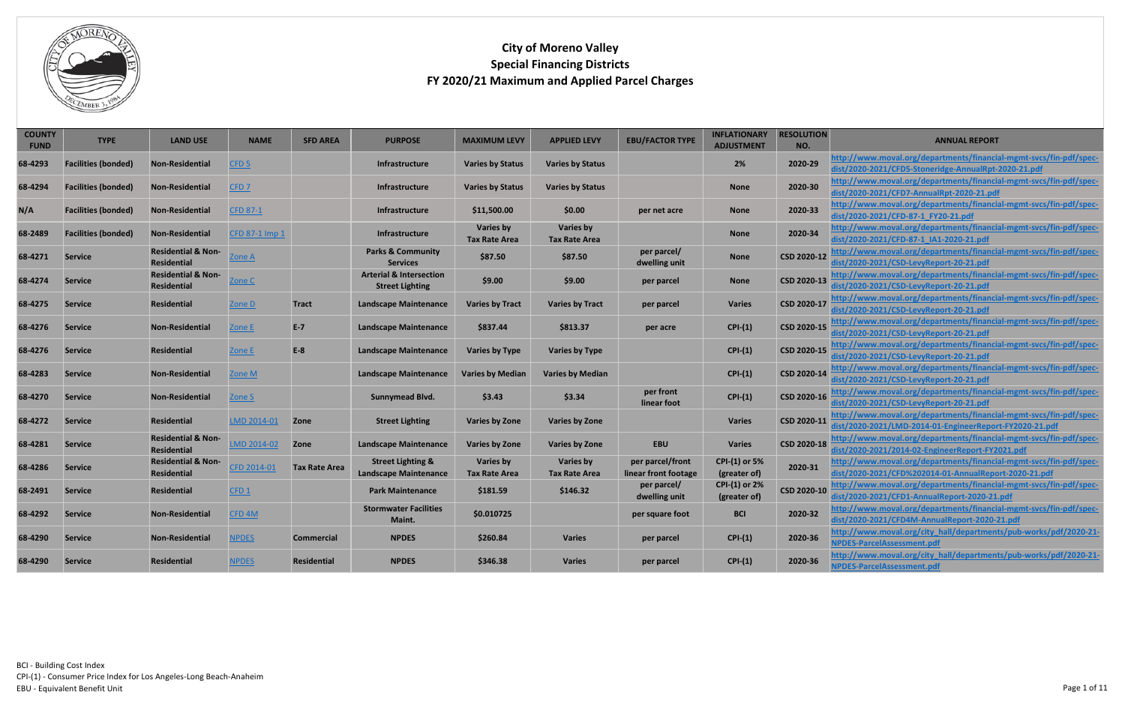| <b>COUNTY</b><br><b>FUND</b> | <b>TYPE</b>                | <b>LAND USE</b>                                     | <b>NAME</b>       | <b>SFD AREA</b>      | <b>PURPOSE</b>                                               | <b>MAXIMUM LEVY</b>                      | <b>APPLIED LEVY</b>                      | <b>EBU/FACTOR TYPE</b>                   | <b>INFLATIONARY</b><br><b>ADJUSTMENT</b> | <b>RESOLUTION</b><br>NO. | <b>ANNUAL REPORT</b>                                                                                                           |
|------------------------------|----------------------------|-----------------------------------------------------|-------------------|----------------------|--------------------------------------------------------------|------------------------------------------|------------------------------------------|------------------------------------------|------------------------------------------|--------------------------|--------------------------------------------------------------------------------------------------------------------------------|
| 68-4293                      | <b>Facilities (bonded)</b> | <b>Non-Residential</b>                              | CFD <sub>5</sub>  |                      | Infrastructure                                               | <b>Varies by Status</b>                  | <b>Varies by Status</b>                  |                                          | 2%                                       | 2020-29                  | http://www.moval.org/departments/financial-mgmt-svcs/fin-pdf/spec-<br>dist/2020-2021/CFD5-Stoneridge-AnnualRpt-2020-21.pdf     |
| 68-4294                      | <b>Facilities (bonded)</b> | Non-Residential                                     | CFD <sub>7</sub>  |                      | Infrastructure                                               | <b>Varies by Status</b>                  | <b>Varies by Status</b>                  |                                          | <b>None</b>                              | 2020-30                  | http://www.moval.org/departments/financial-mgmt-svcs/fin-pdf/spec-<br>dist/2020-2021/CFD7-AnnualRpt-2020-21.pdf                |
| N/A                          | <b>Facilities (bonded)</b> | Non-Residential                                     | <b>CFD 87-1</b>   |                      | <b>Infrastructure</b>                                        | \$11,500.00                              | \$0.00                                   | per net acre                             | <b>None</b>                              | 2020-33                  | http://www.moval.org/departments/financial-mgmt-svcs/fin-pdf/spec-<br>dist/2020-2021/CFD-87-1_FY20-21.pdf                      |
| 68-2489                      | <b>Facilities (bonded)</b> | Non-Residential                                     | CFD 87-1 Imp 1    |                      | Infrastructure                                               | <b>Varies by</b><br><b>Tax Rate Area</b> | <b>Varies by</b><br><b>Tax Rate Area</b> |                                          | <b>None</b>                              | 2020-34                  | http://www.moval.org/departments/financial-mgmt-svcs/fin-pdf/spec-<br>dist/2020-2021/CFD-87-1 IA1-2020-21.pdf                  |
| 68-4271                      | <b>Service</b>             | <b>Residential &amp; Non-</b><br><b>Residential</b> | <u>Zone A</u>     |                      | <b>Parks &amp; Community</b><br><b>Services</b>              | \$87.50                                  | \$87.50                                  | per parcel/<br>dwelling unit             | <b>None</b>                              | CSD 2020-12              | http://www.moval.org/departments/financial-mgmt-svcs/fin-pdf/spec-<br>dist/2020-2021/CSD-LevyReport-20-21.pdf                  |
| 68-4274                      | <b>Service</b>             | <b>Residential &amp; Non-</b><br><b>Residential</b> | <u>Zone C</u>     |                      | <b>Arterial &amp; Intersection</b><br><b>Street Lighting</b> | \$9.00                                   | \$9.00                                   | per parcel                               | <b>None</b>                              | CSD 2020-13              | http://www.moval.org/departments/financial-mgmt-svcs/fin-pdf/spec-<br>dist/2020-2021/CSD-LevyReport-20-21.pdf                  |
| 68-4275                      | <b>Service</b>             | Residential                                         | Zone D            | <b>Tract</b>         | <b>Landscape Maintenance</b>                                 | <b>Varies by Tract</b>                   | <b>Varies by Tract</b>                   | per parcel                               | <b>Varies</b>                            | CSD 2020-17              | http://www.moval.org/departments/financial-mgmt-svcs/fin-pdf/spec-<br>dist/2020-2021/CSD-LevyReport-20-21.pdf                  |
| 68-4276                      | <b>Service</b>             | <b>Non-Residential</b>                              | Zone E            | $E-7$                | <b>Landscape Maintenance</b>                                 | \$837.44                                 | \$813.37                                 | per acre                                 | $CPI-(1)$                                | CSD 2020-15              | http://www.moval.org/departments/financial-mgmt-svcs/fin-pdf/spec-<br>dist/2020-2021/CSD-LevyReport-20-21.pdf                  |
| 68-4276                      | <b>Service</b>             | <b>Residential</b>                                  | Zone E            | $E-8$                | <b>Landscape Maintenance</b>                                 | <b>Varies by Type</b>                    | <b>Varies by Type</b>                    |                                          | $CPI-(1)$                                | CSD 2020-15              | <u>http://www.moval.org/departments/financial-mgmt-svcs/fin-pdf/spec-</u><br>dist/2020-2021/CSD-LevyReport-20-21.pdf           |
| 68-4283                      | <b>Service</b>             | <b>Non-Residential</b>                              | Zone M            |                      | <b>Landscape Maintenance</b>                                 | <b>Varies by Median</b>                  | <b>Varies by Median</b>                  |                                          | $CPI-(1)$                                | CSD 2020-14              | <u> http://www.moval.org/departments/financial-mgmt-svcs/fin-pdf/spec-</u><br>dist/2020-2021/CSD-LevyReport-20-21.pdf          |
| 68-4270                      | <b>Service</b>             | <b>Non-Residential</b>                              | Zone S            |                      | <b>Sunnymead Blvd.</b>                                       | \$3.43                                   | \$3.34                                   | per front<br>linear foot                 | $CPI-(1)$                                | CSD 2020-16              | http://www.moval.org/departments/financial-mgmt-svcs/fin-pdf/spec-<br>dist/2020-2021/CSD-LevyReport-20-21.pdf                  |
| 68-4272                      | <b>Service</b>             | <b>Residential</b>                                  | LMD 2014-01       | Zone                 | <b>Street Lighting</b>                                       | <b>Varies by Zone</b>                    | <b>Varies by Zone</b>                    |                                          | <b>Varies</b>                            | CSD 2020-11              | http://www.moval.org/departments/financial-mgmt-svcs/fin-pdf/spec-<br>dist/2020-2021/LMD-2014-01-EngineerReport-FY2020-21.pdf  |
| 68-4281                      | <b>Service</b>             | <b>Residential &amp; Non-</b><br><b>Residential</b> | LMD 2014-02       | Zone                 | <b>Landscape Maintenance</b>                                 | <b>Varies by Zone</b>                    | <b>Varies by Zone</b>                    | <b>EBU</b>                               | <b>Varies</b>                            | CSD 2020-18              | http://www.moval.org/departments/financial-mgmt-svcs/fin-pdf/spec-<br>dist/2020-2021/2014-02-EngineerReport-FY2021.pdf         |
| 68-4286                      | <b>Service</b>             | <b>Residential &amp; Non-</b><br><b>Residential</b> | CFD 2014-01       | <b>Tax Rate Area</b> | <b>Street Lighting &amp;</b><br><b>Landscape Maintenance</b> | <b>Varies by</b><br><b>Tax Rate Area</b> | <b>Varies by</b><br><b>Tax Rate Area</b> | per parcel/front<br>linear front footage | <b>CPI-(1) or 5%</b><br>(greater of)     | 2020-31                  | http://www.moval.org/departments/financial-mgmt-svcs/fin-pdf/spec-<br>dist/2020-2021/CFD%202014-01-AnnualReport-2020-21.pdf    |
| 68-2491                      | Service                    | <b>Residential</b>                                  | CFD1              |                      | <b>Park Maintenance</b>                                      | \$181.59                                 | \$146.32                                 | per parcel/<br>dwelling unit             | <b>CPI-(1) or 2%</b><br>(greater of)     |                          | CSD 2020-10 http://www.moval.org/departments/financial-mgmt-svcs/fin-pdf/spec-<br>dist/2020-2021/CFD1-AnnualReport-2020-21.pdf |
| 68-4292                      | <b>Service</b>             | <b>Non-Residential</b>                              | CFD <sub>4M</sub> |                      | <b>Stormwater Facilities</b><br>Maint.                       | \$0.010725                               |                                          | per square foot                          | <b>BCI</b>                               | 2020-32                  | http://www.moval.org/departments/financial-mgmt-svcs/fin-pdf/spec-<br>dist/2020-2021/CFD4M-AnnualReport-2020-21.pdf            |
| 68-4290                      | Service                    | <b>Non-Residential</b>                              | <b>NPDES</b>      | <b>Commercial</b>    | <b>NPDES</b>                                                 | \$260.84                                 | <b>Varies</b>                            | per parcel                               | $CPI-(1)$                                | 2020-36                  | http://www.moval.org/city_hall/departments/pub-works/pdf/2020-21-<br>NPDES-ParcelAssessment.pdf                                |
| 68-4290                      | <b>Service</b>             | <b>Residential</b>                                  | <b>NPDES</b>      | <b>Residential</b>   | <b>NPDES</b>                                                 | \$346.38                                 | <b>Varies</b>                            | per parcel                               | $CPI-(1)$                                | 2020-36                  | http://www.moval.org/city_hall/departments/pub-works/pdf/2020-21-<br>NPDES-ParcelAssessment.pdf                                |

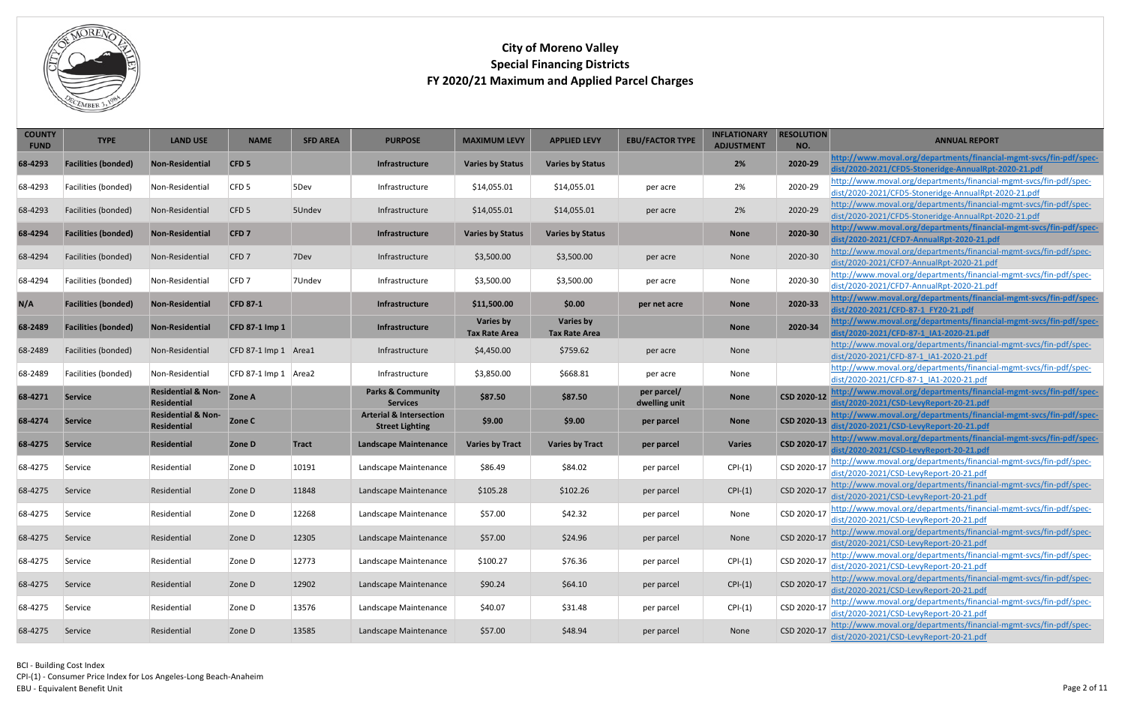<span id="page-1-6"></span><span id="page-1-5"></span><span id="page-1-4"></span>CPI-(1) - Consumer Price Index for Los Angeles-Long Beach-Anaheim

EBU - Equivalent Benefit Unit



<span id="page-1-3"></span><span id="page-1-2"></span><span id="page-1-1"></span><span id="page-1-0"></span>

| <b>COUNTY</b><br><b>FUND</b> | <b>TYPE</b>                | <b>LAND USE</b>                                     | <b>NAME</b>          | <b>SFD AREA</b> | <b>PURPOSE</b>                                               | <b>MAXIMUM LEVY</b>                      | <b>APPLIED LEVY</b>                      | <b>EBU/FACTOR TYPE</b>       | <b>INFLATIONARY</b><br><b>ADJUSTMENT</b> | <b>RESOLUTION</b><br>NO. | <b>ANNUAL REPORT</b>                                                                                                       |
|------------------------------|----------------------------|-----------------------------------------------------|----------------------|-----------------|--------------------------------------------------------------|------------------------------------------|------------------------------------------|------------------------------|------------------------------------------|--------------------------|----------------------------------------------------------------------------------------------------------------------------|
| 68-4293                      | <b>Facilities (bonded)</b> | <b>Non-Residential</b>                              | CFD <sub>5</sub>     |                 | Infrastructure                                               | <b>Varies by Status</b>                  | <b>Varies by Status</b>                  |                              | 2%                                       | 2020-29                  | http://www.moval.org/departments/financial-mgmt-svcs/fin-pdf/spec-<br>dist/2020-2021/CFD5-Stoneridge-AnnualRpt-2020-21.pdf |
| 68-4293                      | Facilities (bonded)        | Non-Residential                                     | CFD <sub>5</sub>     | 5Dev            | Infrastructure                                               | \$14,055.01                              | \$14,055.01                              | per acre                     | 2%                                       | 2020-29                  | http://www.moval.org/departments/financial-mgmt-svcs/fin-pdf/spec-                                                         |
|                              |                            |                                                     |                      |                 |                                                              |                                          |                                          |                              |                                          |                          | dist/2020-2021/CFD5-Stoneridge-AnnualRpt-2020-21.pdf<br>http://www.moval.org/departments/financial-mgmt-svcs/fin-pdf/spec- |
| 68-4293                      | Facilities (bonded)        | Non-Residential                                     | CFD <sub>5</sub>     | 5Undev          | Infrastructure                                               | \$14,055.01                              | \$14,055.01                              | per acre                     | 2%                                       | 2020-29                  | dist/2020-2021/CFD5-Stoneridge-AnnualRpt-2020-21.pdf                                                                       |
| 68-4294                      | <b>Facilities (bonded)</b> | Non-Residential                                     | CFD <sub>7</sub>     |                 | Infrastructure                                               | <b>Varies by Status</b>                  | <b>Varies by Status</b>                  |                              | <b>None</b>                              | 2020-30                  | http://www.moval.org/departments/financial-mgmt-svcs/fin-pdf/spec-<br>dist/2020-2021/CFD7-AnnualRpt-2020-21.pdf            |
| 68-4294                      | Facilities (bonded)        | Non-Residential                                     | CFD <sub>7</sub>     | 7Dev            | Infrastructure                                               | \$3,500.00                               | \$3,500.00                               | per acre                     | None                                     | 2020-30                  | http://www.moval.org/departments/financial-mgmt-svcs/fin-pdf/spec-<br>dist/2020-2021/CFD7-AnnualRpt-2020-21.pdf            |
| 68-4294                      | Facilities (bonded)        | Non-Residential                                     | CFD7                 | 7Undev          | Infrastructure                                               | \$3,500.00                               | \$3,500.00                               | per acre                     | None                                     | 2020-30                  | http://www.moval.org/departments/financial-mgmt-svcs/fin-pdf/spec-<br>dist/2020-2021/CFD7-AnnualRpt-2020-21.pdf            |
| N/A                          | <b>Facilities (bonded)</b> | <b>Non-Residential</b>                              | <b>CFD 87-1</b>      |                 | <b>Infrastructure</b>                                        | \$11,500.00                              | \$0.00                                   | per net acre                 | <b>None</b>                              | 2020-33                  | http://www.moval.org/departments/financial-mgmt-svcs/fin-pdf/spec-<br>dist/2020-2021/CFD-87-1_FY20-21.pdf                  |
| 68-2489                      | <b>Facilities (bonded)</b> | <b>Non-Residential</b>                              | CFD 87-1 Imp 1       |                 | Infrastructure                                               | <b>Varies by</b><br><b>Tax Rate Area</b> | <b>Varies by</b><br><b>Tax Rate Area</b> |                              | <b>None</b>                              | 2020-34                  | http://www.moval.org/departments/financial-mgmt-svcs/fin-pdf/spec-<br>dist/2020-2021/CFD-87-1_IA1-2020-21.pdf              |
| 68-2489                      | Facilities (bonded)        | Non-Residential                                     | CFD 87-1 Imp 1 Area1 |                 | Infrastructure                                               | \$4,450.00                               | \$759.62                                 | per acre                     | None                                     |                          | http://www.moval.org/departments/financial-mgmt-svcs/fin-pdf/spec-<br>dist/2020-2021/CFD-87-1_IA1-2020-21.pdf              |
| 68-2489                      | Facilities (bonded)        | Non-Residential                                     | CFD 87-1 Imp 1 Area2 |                 | Infrastructure                                               | \$3,850.00                               | \$668.81                                 | per acre                     | None                                     |                          | http://www.moval.org/departments/financial-mgmt-svcs/fin-pdf/spec-<br>dist/2020-2021/CFD-87-1 IA1-2020-21.pdf              |
| 68-4271                      | <b>Service</b>             | <b>Residential &amp; Non-</b><br><b>Residential</b> | <b>Zone A</b>        |                 | <b>Parks &amp; Community</b><br><b>Services</b>              | \$87.50                                  | \$87.50                                  | per parcel/<br>dwelling unit | <b>None</b>                              | CSD 2020-12              | http://www.moval.org/departments/financial-mgmt-svcs/fin-pdf/spec-<br>dist/2020-2021/CSD-LevyReport-20-21.pdf              |
| 68-4274                      | <b>Service</b>             | <b>Residential &amp; Non-</b><br><b>Residential</b> | Zone C               |                 | <b>Arterial &amp; Intersection</b><br><b>Street Lighting</b> | \$9.00                                   | \$9.00                                   | per parcel                   | <b>None</b>                              | CSD 2020-13              | http://www.moval.org/departments/financial-mgmt-svcs/fin-pdf/spec-<br>dist/2020-2021/CSD-LevyReport-20-21.pdf              |
| 68-4275                      | <b>Service</b>             | <b>Residential</b>                                  | <b>Zone D</b>        | <b>Tract</b>    | <b>Landscape Maintenance</b>                                 | <b>Varies by Tract</b>                   | <b>Varies by Tract</b>                   | per parcel                   | <b>Varies</b>                            | CSD 2020-17              | http://www.moval.org/departments/financial-mgmt-svcs/fin-pdf/spec-<br>dist/2020-2021/CSD-LevyReport-20-21.pdf              |
| 68-4275                      | Service                    | Residential                                         | Zone D               | 10191           | Landscape Maintenance                                        | \$86.49                                  | \$84.02                                  | per parcel                   | $CPI-(1)$                                | CSD 2020-17              | http://www.moval.org/departments/financial-mgmt-svcs/fin-pdf/spec-<br>dist/2020-2021/CSD-LevyReport-20-21.pdf              |
| 68-4275                      | Service                    | Residential                                         | Zone D               | 11848           | Landscape Maintenance                                        | \$105.28                                 | \$102.26                                 | per parcel                   | $CPI-(1)$                                | CSD 2020-17              | http://www.moval.org/departments/financial-mgmt-svcs/fin-pdf/spec-<br>dist/2020-2021/CSD-LevyReport-20-21.pdf              |
| 68-4275                      | Service                    | Residential                                         | Zone D               | 12268           | Landscape Maintenance                                        | \$57.00                                  | \$42.32                                  | per parcel                   | None                                     | CSD 2020-17              | http://www.moval.org/departments/financial-mgmt-svcs/fin-pdf/spec-<br>dist/2020-2021/CSD-LevyReport-20-21.pdf              |
| 68-4275                      | Service                    | Residential                                         | Zone D               | 12305           | Landscape Maintenance                                        | \$57.00                                  | \$24.96                                  | per parcel                   | None                                     | CSD 2020-17              | http://www.moval.org/departments/financial-mgmt-svcs/fin-pdf/spec-<br>dist/2020-2021/CSD-LevyReport-20-21.pdf              |
| 68-4275                      | Service                    | Residential                                         | Zone D               | 12773           | Landscape Maintenance                                        | \$100.27                                 | \$76.36                                  | per parcel                   | $CPI-(1)$                                | CSD 2020-17              | http://www.moval.org/departments/financial-mgmt-svcs/fin-pdf/spec-<br>dist/2020-2021/CSD-LevyReport-20-21.pdf              |
| 68-4275                      | Service                    | Residential                                         | Zone D               | 12902           | Landscape Maintenance                                        | \$90.24                                  | \$64.10                                  | per parcel                   | $CPI-(1)$                                | CSD 2020-17              | http://www.moval.org/departments/financial-mgmt-svcs/fin-pdf/spec-<br>dist/2020-2021/CSD-LevyReport-20-21.pdf              |
| 68-4275                      | Service                    | Residential                                         | Zone D               | 13576           | Landscape Maintenance                                        | \$40.07                                  | \$31.48                                  | per parcel                   | $CPI-(1)$                                | CSD 2020-17              | http://www.moval.org/departments/financial-mgmt-svcs/fin-pdf/spec-<br>dist/2020-2021/CSD-LevyReport-20-21.pdf              |
| 68-4275                      | Service                    | Residential                                         | Zone D               | 13585           | Landscape Maintenance                                        | \$57.00                                  | \$48.94                                  | per parcel                   | None                                     | CSD 2020-17              | http://www.moval.org/departments/financial-mgmt-svcs/fin-pdf/spec-<br>dist/2020-2021/CSD-LevyReport-20-21.pdf              |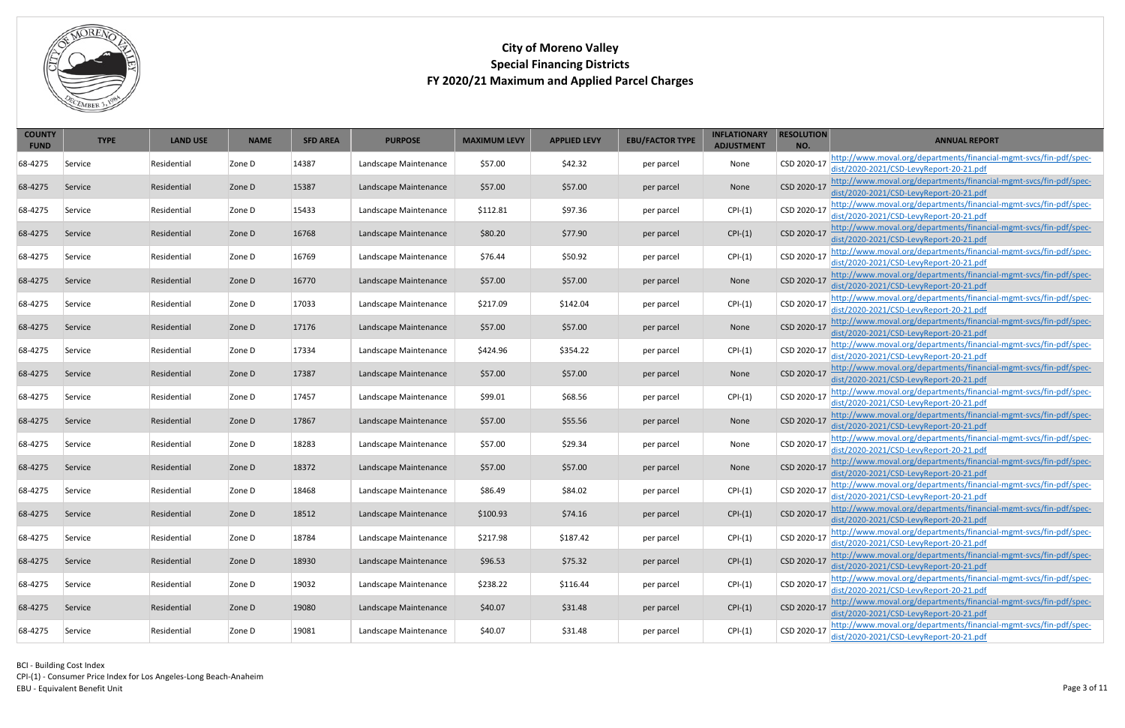CPI-(1) - Consumer Price Index for Los Angeles-Long Beach-Anaheim EBU - Equivalent Benefit Unit



| <b>COUNTY</b><br><b>FUND</b> | <b>TYPE</b> | <b>LAND USE</b> | <b>NAME</b> | <b>SFD AREA</b> | <b>PURPOSE</b>        | <b>MAXIMUM LEVY</b> | <b>APPLIED LEVY</b> | <b>EBU/FACTOR TYPE</b> | <b>INFLATIONARY</b><br><b>ADJUSTMENT</b> | <b>RESOLUTION</b><br>NO. | <b>ANNUAL REPORT</b>                                                                                          |
|------------------------------|-------------|-----------------|-------------|-----------------|-----------------------|---------------------|---------------------|------------------------|------------------------------------------|--------------------------|---------------------------------------------------------------------------------------------------------------|
| 68-4275                      | Service     | Residential     | Zone D      | 14387           | Landscape Maintenance | \$57.00             | \$42.32             | per parcel             | None                                     | CSD 2020-17              | http://www.moval.org/departments/financial-mgmt-svcs/fin-pdf/spec-<br>dist/2020-2021/CSD-LevyReport-20-21.pdf |
| 68-4275                      | Service     | Residential     | Zone D      | 15387           | Landscape Maintenance | \$57.00             | \$57.00             | per parcel             | None                                     | CSD 2020-17              | http://www.moval.org/departments/financial-mgmt-svcs/fin-pdf/spec-<br>dist/2020-2021/CSD-LevyReport-20-21.pdf |
| 68-4275                      | Service     | Residential     | Zone D      | 15433           | Landscape Maintenance | \$112.81            | \$97.36             | per parcel             | $CPI-(1)$                                | CSD 2020-17              | http://www.moval.org/departments/financial-mgmt-svcs/fin-pdf/spec-<br>dist/2020-2021/CSD-LevyReport-20-21.pdf |
| 68-4275                      | Service     | Residential     | Zone D      | 16768           | Landscape Maintenance | \$80.20             | \$77.90             | per parcel             | $CPI-(1)$                                | CSD 2020-17              | http://www.moval.org/departments/financial-mgmt-svcs/fin-pdf/spec-<br>dist/2020-2021/CSD-LevyReport-20-21.pdf |
| 68-4275                      | Service     | Residential     | Zone D      | 16769           | Landscape Maintenance | \$76.44             | \$50.92             | per parcel             | $CPI-(1)$                                | CSD 2020-17              | http://www.moval.org/departments/financial-mgmt-svcs/fin-pdf/spec-<br>dist/2020-2021/CSD-LevyReport-20-21.pdf |
| 68-4275                      | Service     | Residential     | Zone D      | 16770           | Landscape Maintenance | \$57.00             | \$57.00             | per parcel             | None                                     | CSD 2020-17              | http://www.moval.org/departments/financial-mgmt-svcs/fin-pdf/spec-<br>dist/2020-2021/CSD-LevyReport-20-21.pdf |
| 68-4275                      | Service     | Residential     | Zone D      | 17033           | Landscape Maintenance | \$217.09            | \$142.04            | per parcel             | $CPI-(1)$                                | CSD 2020-17              | http://www.moval.org/departments/financial-mgmt-svcs/fin-pdf/spec-<br>dist/2020-2021/CSD-LevyReport-20-21.pdf |
| 68-4275                      | Service     | Residential     | Zone D      | 17176           | Landscape Maintenance | \$57.00             | \$57.00             | per parcel             | None                                     | CSD 2020-17              | http://www.moval.org/departments/financial-mgmt-svcs/fin-pdf/spec-<br>dist/2020-2021/CSD-LevyReport-20-21.pdf |
| 68-4275                      | Service     | Residential     | Zone D      | 17334           | Landscape Maintenance | \$424.96            | \$354.22            | per parcel             | $CPI-(1)$                                | CSD 2020-17              | http://www.moval.org/departments/financial-mgmt-svcs/fin-pdf/spec-<br>dist/2020-2021/CSD-LevyReport-20-21.pdf |
| 68-4275                      | Service     | Residential     | Zone D      | 17387           | Landscape Maintenance | \$57.00             | \$57.00             | per parcel             | None                                     | CSD 2020-17              | http://www.moval.org/departments/financial-mgmt-svcs/fin-pdf/spec-<br>dist/2020-2021/CSD-LevyReport-20-21.pdf |
| 68-4275                      | Service     | Residential     | Zone D      | 17457           | Landscape Maintenance | \$99.01             | \$68.56             | per parcel             | $CPI-(1)$                                | CSD 2020-17              | http://www.moval.org/departments/financial-mgmt-svcs/fin-pdf/spec-<br>dist/2020-2021/CSD-LevyReport-20-21.pdf |
| 68-4275                      | Service     | Residential     | Zone D      | 17867           | Landscape Maintenance | \$57.00             | \$55.56             | per parcel             | None                                     | CSD 2020-17              | http://www.moval.org/departments/financial-mgmt-svcs/fin-pdf/spec-<br>dist/2020-2021/CSD-LevyReport-20-21.pdf |
| 68-4275                      | Service     | Residential     | Zone D      | 18283           | Landscape Maintenance | \$57.00             | \$29.34             | per parcel             | None                                     | CSD 2020-17              | http://www.moval.org/departments/financial-mgmt-svcs/fin-pdf/spec-<br>dist/2020-2021/CSD-LevyReport-20-21.pdf |
| 68-4275                      | Service     | Residential     | Zone D      | 18372           | Landscape Maintenance | \$57.00             | \$57.00             | per parcel             | None                                     | CSD 2020-17              | http://www.moval.org/departments/financial-mgmt-svcs/fin-pdf/spec-<br>dist/2020-2021/CSD-LevyReport-20-21.pdf |
| 68-4275                      | Service     | Residential     | Zone D      | 18468           | Landscape Maintenance | \$86.49             | \$84.02             | per parcel             | $CPI-(1)$                                | CSD 2020-17              | http://www.moval.org/departments/financial-mgmt-svcs/fin-pdf/spec-<br>dist/2020-2021/CSD-LevyReport-20-21.pdf |
| 68-4275                      | Service     | Residential     | Zone D      | 18512           | Landscape Maintenance | \$100.93            | \$74.16             | per parcel             | $CPI-(1)$                                | CSD 2020-17              | http://www.moval.org/departments/financial-mgmt-svcs/fin-pdf/spec-<br>dist/2020-2021/CSD-LevyReport-20-21.pdf |
| 68-4275                      | Service     | Residential     | Zone D      | 18784           | Landscape Maintenance | \$217.98            | \$187.42            | per parcel             | $CPI-(1)$                                | CSD 2020-17              | http://www.moval.org/departments/financial-mgmt-svcs/fin-pdf/spec-<br>dist/2020-2021/CSD-LevyReport-20-21.pdf |
| 68-4275                      | Service     | Residential     | Zone D      | 18930           | Landscape Maintenance | \$96.53             | \$75.32             | per parcel             | $CPI-(1)$                                | CSD 2020-17              | http://www.moval.org/departments/financial-mgmt-svcs/fin-pdf/spec-<br>dist/2020-2021/CSD-LevyReport-20-21.pdf |
| 68-4275                      | Service     | Residential     | Zone D      | 19032           | Landscape Maintenance | \$238.22            | \$116.44            | per parcel             | $CPI-(1)$                                | CSD 2020-17              | http://www.moval.org/departments/financial-mgmt-svcs/fin-pdf/spec-<br>dist/2020-2021/CSD-LevyReport-20-21.pdf |
| 68-4275                      | Service     | Residential     | Zone D      | 19080           | Landscape Maintenance | \$40.07             | \$31.48             | per parcel             | $CPI-(1)$                                | CSD 2020-17              | http://www.moval.org/departments/financial-mgmt-svcs/fin-pdf/spec-<br>dist/2020-2021/CSD-LevyReport-20-21.pdf |
| 68-4275                      | Service     | Residential     | Zone D      | 19081           | Landscape Maintenance | \$40.07             | \$31.48             | per parcel             | $CPI-(1)$                                | CSD 2020-17              | http://www.moval.org/departments/financial-mgmt-svcs/fin-pdf/spec-<br>dist/2020-2021/CSD-LevyReport-20-21.pdf |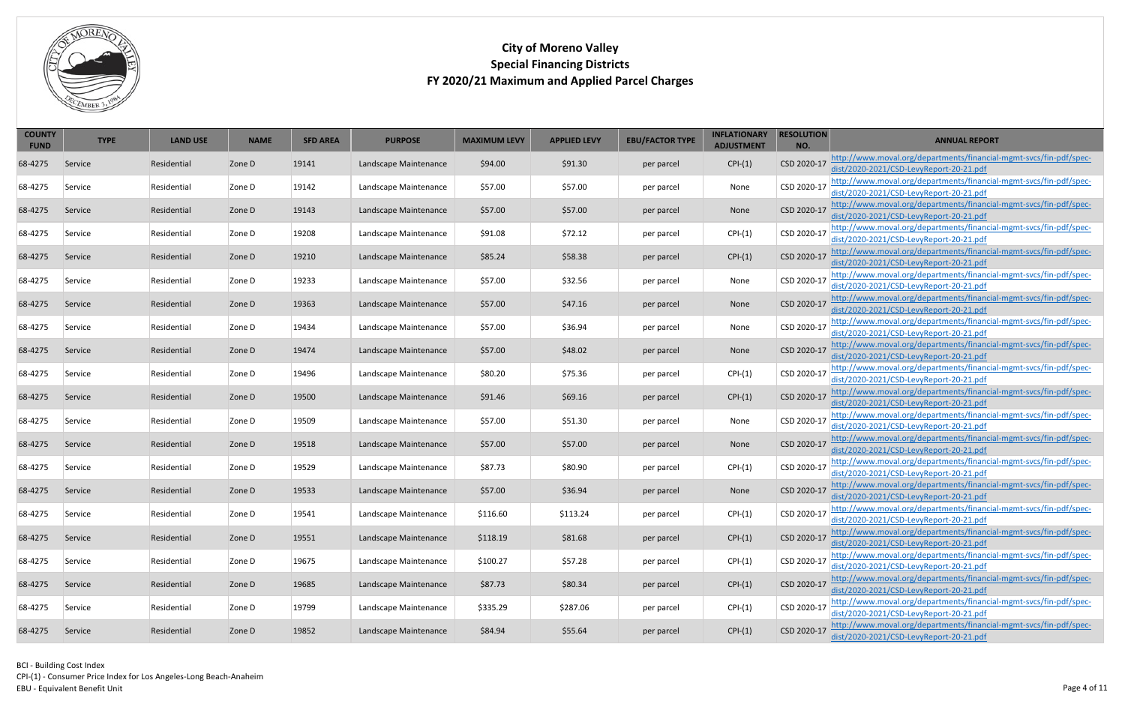CPI-(1) - Consumer Price Index for Los Angeles-Long Beach-Anaheim

Page 4 of 11



| <b>COUNTY</b><br><b>FUND</b> | <b>TYPE</b> | <b>LAND USE</b> | <b>NAME</b> | <b>SFD AREA</b> | <b>PURPOSE</b>        | <b>MAXIMUM LEVY</b> | <b>APPLIED LEVY</b> | <b>EBU/FACTOR TYPE</b> | <b>INFLATIONARY</b><br><b>ADJUSTMENT</b> | <b>RESOLUTION</b><br>NO. | <b>ANNUAL REPORT</b>                                                                                          |
|------------------------------|-------------|-----------------|-------------|-----------------|-----------------------|---------------------|---------------------|------------------------|------------------------------------------|--------------------------|---------------------------------------------------------------------------------------------------------------|
| 68-4275                      | Service     | Residential     | Zone D      | 19141           | Landscape Maintenance | \$94.00             | \$91.30             | per parcel             | $CPI-(1)$                                | CSD 2020-17              | http://www.moval.org/departments/financial-mgmt-svcs/fin-pdf/spec-<br>dist/2020-2021/CSD-LevyReport-20-21.pdf |
| 68-4275                      | Service     | Residential     | Zone D      | 19142           | Landscape Maintenance | \$57.00             | \$57.00             | per parcel             | None                                     | CSD 2020-17              | http://www.moval.org/departments/financial-mgmt-svcs/fin-pdf/spec-<br>dist/2020-2021/CSD-LevyReport-20-21.pdf |
| 68-4275                      | Service     | Residential     | Zone D      | 19143           | Landscape Maintenance | \$57.00             | \$57.00             | per parcel             | None                                     | CSD 2020-17              | http://www.moval.org/departments/financial-mgmt-svcs/fin-pdf/spec-<br>dist/2020-2021/CSD-LevyReport-20-21.pdf |
| 68-4275                      | Service     | Residential     | Zone D      | 19208           | Landscape Maintenance | \$91.08             | \$72.12             | per parcel             | $CPI-(1)$                                | CSD 2020-17              | http://www.moval.org/departments/financial-mgmt-svcs/fin-pdf/spec-<br>dist/2020-2021/CSD-LevyReport-20-21.pdf |
| 68-4275                      | Service     | Residential     | Zone D      | 19210           | Landscape Maintenance | \$85.24             | \$58.38             | per parcel             | $CPI-(1)$                                | CSD 2020-17              | http://www.moval.org/departments/financial-mgmt-svcs/fin-pdf/spec-<br>dist/2020-2021/CSD-LevyReport-20-21.pdf |
| 68-4275                      | Service     | Residential     | Zone D      | 19233           | Landscape Maintenance | \$57.00             | \$32.56             | per parcel             | None                                     | CSD 2020-17              | http://www.moval.org/departments/financial-mgmt-svcs/fin-pdf/spec-<br>dist/2020-2021/CSD-LevyReport-20-21.pdf |
| 68-4275                      | Service     | Residential     | Zone D      | 19363           | Landscape Maintenance | \$57.00             | \$47.16             | per parcel             | None                                     | CSD 2020-17              | http://www.moval.org/departments/financial-mgmt-svcs/fin-pdf/spec-<br>dist/2020-2021/CSD-LevyReport-20-21.pdf |
| 68-4275                      | Service     | Residential     | Zone D      | 19434           | Landscape Maintenance | \$57.00             | \$36.94             | per parcel             | None                                     | CSD 2020-17              | http://www.moval.org/departments/financial-mgmt-svcs/fin-pdf/spec-<br>dist/2020-2021/CSD-LevyReport-20-21.pdf |
| 68-4275                      | Service     | Residential     | Zone D      | 19474           | Landscape Maintenance | \$57.00             | \$48.02             | per parcel             | None                                     | CSD 2020-17              | http://www.moval.org/departments/financial-mgmt-svcs/fin-pdf/spec-<br>dist/2020-2021/CSD-LevyReport-20-21.pdf |
| 68-4275                      | Service     | Residential     | Zone D      | 19496           | Landscape Maintenance | \$80.20             | \$75.36             | per parcel             | $CPI-(1)$                                | CSD 2020-17              | http://www.moval.org/departments/financial-mgmt-svcs/fin-pdf/spec-<br>dist/2020-2021/CSD-LevyReport-20-21.pdf |
| 68-4275                      | Service     | Residential     | Zone D      | 19500           | Landscape Maintenance | \$91.46             | \$69.16             | per parcel             | $CPI-(1)$                                | CSD 2020-17              | http://www.moval.org/departments/financial-mgmt-svcs/fin-pdf/spec-<br>dist/2020-2021/CSD-LevyReport-20-21.pdf |
| 68-4275                      | Service     | Residential     | Zone D      | 19509           | Landscape Maintenance | \$57.00             | \$51.30             | per parcel             | None                                     | CSD 2020-17              | http://www.moval.org/departments/financial-mgmt-svcs/fin-pdf/spec-<br>dist/2020-2021/CSD-LevyReport-20-21.pdf |
| 68-4275                      | Service     | Residential     | Zone D      | 19518           | Landscape Maintenance | \$57.00             | \$57.00             | per parcel             | None                                     | CSD 2020-17              | http://www.moval.org/departments/financial-mgmt-svcs/fin-pdf/spec-<br>dist/2020-2021/CSD-LevyReport-20-21.pdf |
| 68-4275                      | Service     | Residential     | Zone D      | 19529           | Landscape Maintenance | \$87.73             | \$80.90             | per parcel             | $CPI-(1)$                                | CSD 2020-17              | http://www.moval.org/departments/financial-mgmt-svcs/fin-pdf/spec-<br>dist/2020-2021/CSD-LevyReport-20-21.pdf |
| 68-4275                      | Service     | Residential     | Zone D      | 19533           | Landscape Maintenance | \$57.00             | \$36.94             | per parcel             | None                                     | CSD 2020-17              | http://www.moval.org/departments/financial-mgmt-svcs/fin-pdf/spec-<br>dist/2020-2021/CSD-LevyReport-20-21.pdf |
| 68-4275                      | Service     | Residential     | Zone D      | 19541           | Landscape Maintenance | \$116.60            | \$113.24            | per parcel             | $CPI-(1)$                                | CSD 2020-17              | http://www.moval.org/departments/financial-mgmt-svcs/fin-pdf/spec-<br>dist/2020-2021/CSD-LevyReport-20-21.pdf |
| 68-4275                      | Service     | Residential     | Zone D      | 19551           | Landscape Maintenance | \$118.19            | \$81.68             | per parcel             | $CPI-(1)$                                | CSD 2020-17              | http://www.moval.org/departments/financial-mgmt-svcs/fin-pdf/spec-<br>dist/2020-2021/CSD-LevyReport-20-21.pdf |
| 68-4275                      | Service     | Residential     | Zone D      | 19675           | Landscape Maintenance | \$100.27            | \$57.28             | per parcel             | $CPI-(1)$                                | CSD 2020-17              | http://www.moval.org/departments/financial-mgmt-svcs/fin-pdf/spec-<br>dist/2020-2021/CSD-LevyReport-20-21.pdf |
| 68-4275                      | Service     | Residential     | Zone D      | 19685           | Landscape Maintenance | \$87.73             | \$80.34             | per parcel             | $CPI-(1)$                                | CSD 2020-17              | http://www.moval.org/departments/financial-mgmt-svcs/fin-pdf/spec-<br>dist/2020-2021/CSD-LevyReport-20-21.pdf |
| 68-4275                      | Service     | Residential     | Zone D      | 19799           | Landscape Maintenance | \$335.29            | \$287.06            | per parcel             | $CPI-(1)$                                | CSD 2020-17              | http://www.moval.org/departments/financial-mgmt-svcs/fin-pdf/spec-<br>dist/2020-2021/CSD-LevyReport-20-21.pdf |
| 68-4275                      | Service     | Residential     | Zone D      | 19852           | Landscape Maintenance | \$84.94             | \$55.64             | per parcel             | $CPI-(1)$                                | CSD 2020-17              | http://www.moval.org/departments/financial-mgmt-svcs/fin-pdf/spec-<br>dist/2020-2021/CSD-LevyReport-20-21.pdf |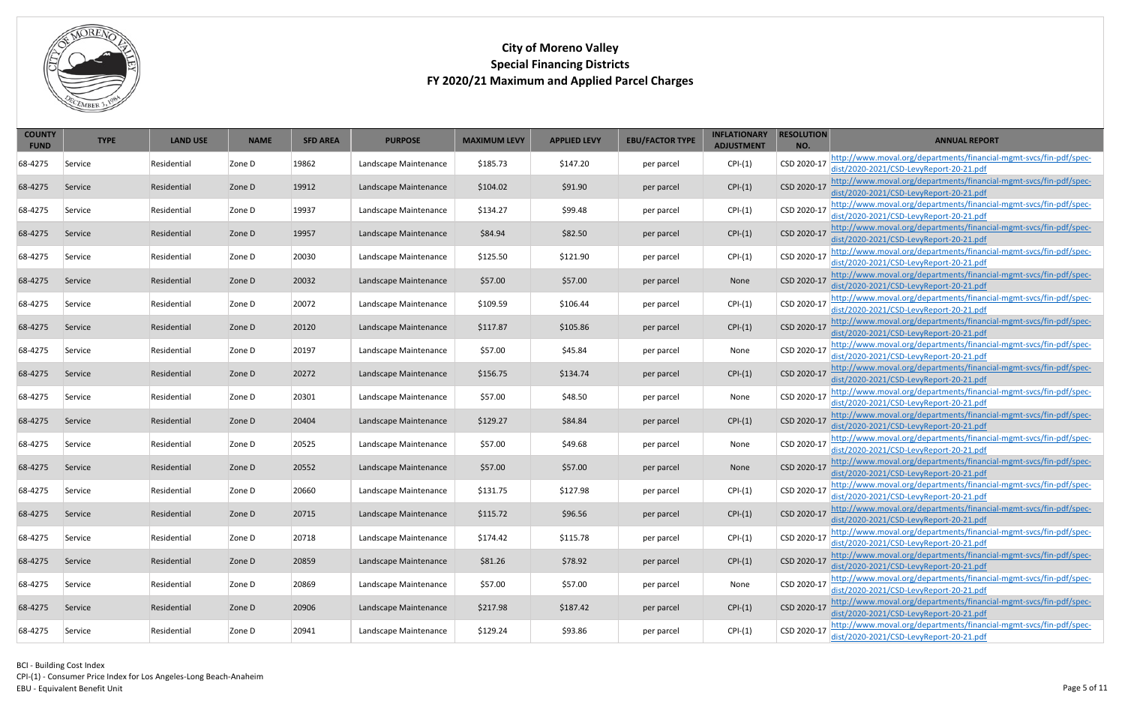CPI-(1) - Consumer Price Index for Los Angeles-Long Beach-Anaheim EBU - Equivalent Benefit Unit



| <b>COUNTY</b><br><b>FUND</b> | <b>TYPE</b> | <b>LAND USE</b> | <b>NAME</b> | <b>SFD AREA</b> | <b>PURPOSE</b>        | <b>MAXIMUM LEVY</b> | <b>APPLIED LEVY</b> | <b>EBU/FACTOR TYPE</b> | <b>INFLATIONARY</b><br><b>ADJUSTMENT</b> | <b>RESOLUTION</b><br>NO. | <b>ANNUAL REPORT</b>                                                                                          |
|------------------------------|-------------|-----------------|-------------|-----------------|-----------------------|---------------------|---------------------|------------------------|------------------------------------------|--------------------------|---------------------------------------------------------------------------------------------------------------|
| 68-4275                      | Service     | Residential     | Zone D      | 19862           | Landscape Maintenance | \$185.73            | \$147.20            | per parcel             | $CPI-(1)$                                | CSD 2020-17              | http://www.moval.org/departments/financial-mgmt-svcs/fin-pdf/spec-<br>dist/2020-2021/CSD-LevyReport-20-21.pdf |
| 68-4275                      | Service     | Residential     | Zone D      | 19912           | Landscape Maintenance | \$104.02            | \$91.90             | per parcel             | $CPI-(1)$                                | CSD 2020-17              | http://www.moval.org/departments/financial-mgmt-svcs/fin-pdf/spec-<br>dist/2020-2021/CSD-LevyReport-20-21.pdf |
| 68-4275                      | Service     | Residential     | Zone D      | 19937           | Landscape Maintenance | \$134.27            | \$99.48             | per parcel             | $CPI-(1)$                                | CSD 2020-17              | http://www.moval.org/departments/financial-mgmt-svcs/fin-pdf/spec-<br>dist/2020-2021/CSD-LevyReport-20-21.pdf |
| 68-4275                      | Service     | Residential     | Zone D      | 19957           | Landscape Maintenance | \$84.94             | \$82.50             | per parcel             | $CPI-(1)$                                | CSD 2020-17              | http://www.moval.org/departments/financial-mgmt-svcs/fin-pdf/spec-<br>dist/2020-2021/CSD-LevyReport-20-21.pdf |
| 68-4275                      | Service     | Residential     | Zone D      | 20030           | Landscape Maintenance | \$125.50            | \$121.90            | per parcel             | $CPI-(1)$                                | CSD 2020-17              | http://www.moval.org/departments/financial-mgmt-svcs/fin-pdf/spec-<br>dist/2020-2021/CSD-LevyReport-20-21.pdf |
| 68-4275                      | Service     | Residential     | Zone D      | 20032           | Landscape Maintenance | \$57.00             | \$57.00             | per parcel             | None                                     | CSD 2020-17              | http://www.moval.org/departments/financial-mgmt-svcs/fin-pdf/spec-<br>dist/2020-2021/CSD-LevyReport-20-21.pdf |
| 68-4275                      | Service     | Residential     | Zone D      | 20072           | Landscape Maintenance | \$109.59            | \$106.44            | per parcel             | $CPI-(1)$                                | CSD 2020-17              | http://www.moval.org/departments/financial-mgmt-svcs/fin-pdf/spec-<br>dist/2020-2021/CSD-LevyReport-20-21.pdf |
| 68-4275                      | Service     | Residential     | Zone D      | 20120           | Landscape Maintenance | \$117.87            | \$105.86            | per parcel             | $CPI-(1)$                                | CSD 2020-17              | http://www.moval.org/departments/financial-mgmt-svcs/fin-pdf/spec-<br>dist/2020-2021/CSD-LevyReport-20-21.pdf |
| 68-4275                      | Service     | Residential     | Zone D      | 20197           | Landscape Maintenance | \$57.00             | \$45.84             | per parcel             | None                                     | CSD 2020-17              | http://www.moval.org/departments/financial-mgmt-svcs/fin-pdf/spec-<br>dist/2020-2021/CSD-LevyReport-20-21.pdf |
| 68-4275                      | Service     | Residential     | Zone D      | 20272           | Landscape Maintenance | \$156.75            | \$134.74            | per parcel             | $CPI-(1)$                                | CSD 2020-17              | http://www.moval.org/departments/financial-mgmt-svcs/fin-pdf/spec-<br>dist/2020-2021/CSD-LevyReport-20-21.pdf |
| 68-4275                      | Service     | Residential     | Zone D      | 20301           | Landscape Maintenance | \$57.00             | \$48.50             | per parcel             | None                                     | CSD 2020-17              | http://www.moval.org/departments/financial-mgmt-svcs/fin-pdf/spec-<br>dist/2020-2021/CSD-LevyReport-20-21.pdf |
| 68-4275                      | Service     | Residential     | Zone D      | 20404           | Landscape Maintenance | \$129.27            | \$84.84             | per parcel             | $CPI-(1)$                                | CSD 2020-17              | http://www.moval.org/departments/financial-mgmt-svcs/fin-pdf/spec-<br>dist/2020-2021/CSD-LevyReport-20-21.pdf |
| 68-4275                      | Service     | Residential     | Zone D      | 20525           | Landscape Maintenance | \$57.00             | \$49.68             | per parcel             | None                                     | CSD 2020-17              | http://www.moval.org/departments/financial-mgmt-svcs/fin-pdf/spec-<br>dist/2020-2021/CSD-LevyReport-20-21.pdf |
| 68-4275                      | Service     | Residential     | Zone D      | 20552           | Landscape Maintenance | \$57.00             | \$57.00             | per parcel             | None                                     | CSD 2020-17              | http://www.moval.org/departments/financial-mgmt-svcs/fin-pdf/spec-<br>dist/2020-2021/CSD-LevyReport-20-21.pdf |
| 68-4275                      | Service     | Residential     | Zone D      | 20660           | Landscape Maintenance | \$131.75            | \$127.98            | per parcel             | $CPI-(1)$                                | CSD 2020-17              | http://www.moval.org/departments/financial-mgmt-svcs/fin-pdf/spec-<br>dist/2020-2021/CSD-LevyReport-20-21.pdf |
| 68-4275                      | Service     | Residential     | Zone D      | 20715           | Landscape Maintenance | \$115.72            | \$96.56             | per parcel             | $CPI-(1)$                                | CSD 2020-17              | http://www.moval.org/departments/financial-mgmt-svcs/fin-pdf/spec-<br>dist/2020-2021/CSD-LevyReport-20-21.pdf |
| 68-4275                      | Service     | Residential     | Zone D      | 20718           | Landscape Maintenance | \$174.42            | \$115.78            | per parcel             | $CPI-(1)$                                | CSD 2020-17              | http://www.moval.org/departments/financial-mgmt-svcs/fin-pdf/spec-<br>dist/2020-2021/CSD-LevyReport-20-21.pdf |
| 68-4275                      | Service     | Residential     | Zone D      | 20859           | Landscape Maintenance | \$81.26             | \$78.92             | per parcel             | $CPI-(1)$                                | CSD 2020-17              | http://www.moval.org/departments/financial-mgmt-svcs/fin-pdf/spec-<br>dist/2020-2021/CSD-LevyReport-20-21.pdf |
| 68-4275                      | Service     | Residential     | Zone D      | 20869           | Landscape Maintenance | \$57.00             | \$57.00             | per parcel             | None                                     | CSD 2020-17              | http://www.moval.org/departments/financial-mgmt-svcs/fin-pdf/spec-<br>dist/2020-2021/CSD-LevyReport-20-21.pdf |
| 68-4275                      | Service     | Residential     | Zone D      | 20906           | Landscape Maintenance | \$217.98            | \$187.42            | per parcel             | $CPI-(1)$                                | CSD 2020-17              | http://www.moval.org/departments/financial-mgmt-svcs/fin-pdf/spec-<br>dist/2020-2021/CSD-LevyReport-20-21.pdf |
| 68-4275                      | Service     | Residential     | Zone D      | 20941           | Landscape Maintenance | \$129.24            | \$93.86             | per parcel             | $CPI-(1)$                                | CSD 2020-17              | http://www.moval.org/departments/financial-mgmt-svcs/fin-pdf/spec-<br>dist/2020-2021/CSD-LevyReport-20-21.pdf |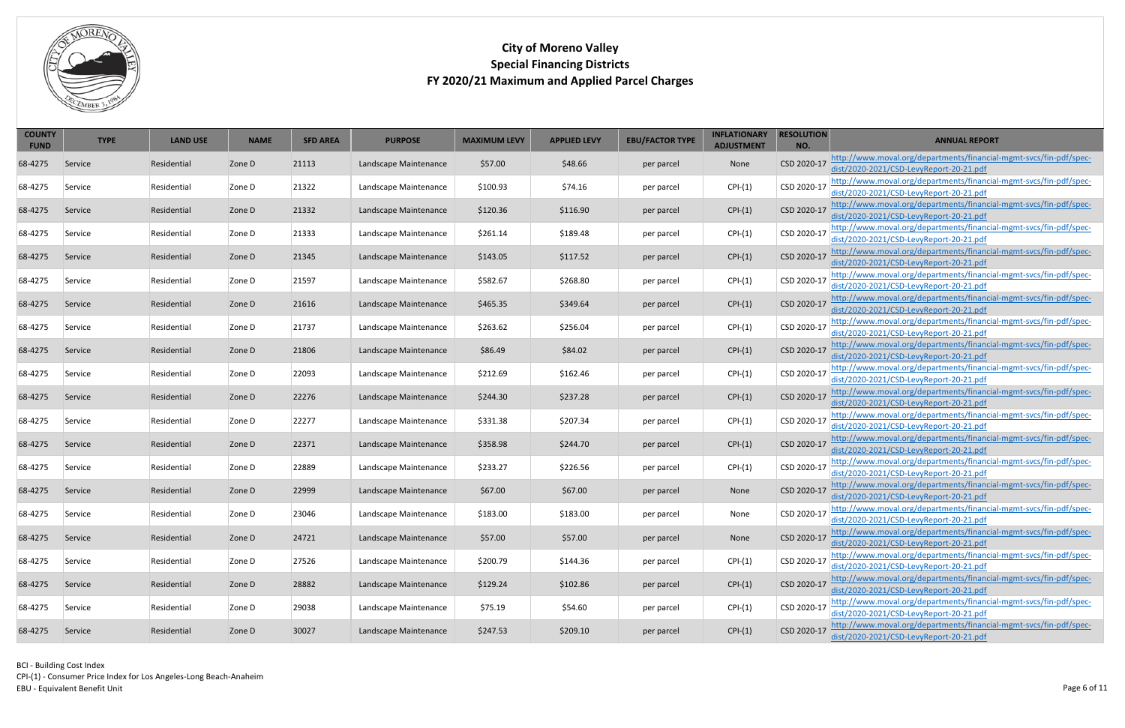CPI-(1) - Consumer Price Index for Los Angeles-Long Beach-Anaheim

EBU - Equivalent Benefit Unit



| <b>COUNTY</b><br><b>FUND</b> | <b>TYPE</b> | <b>LAND USE</b> | <b>NAME</b> | <b>SFD AREA</b> | <b>PURPOSE</b>        | <b>MAXIMUM LEVY</b> | <b>APPLIED LEVY</b> | <b>EBU/FACTOR TYPE</b> | <b>INFLATIONARY</b><br><b>ADJUSTMENT</b> | <b>RESOLUTION</b><br>NO. | <b>ANNUAL REPORT</b>                                                                                          |
|------------------------------|-------------|-----------------|-------------|-----------------|-----------------------|---------------------|---------------------|------------------------|------------------------------------------|--------------------------|---------------------------------------------------------------------------------------------------------------|
| 68-4275                      | Service     | Residential     | Zone D      | 21113           | Landscape Maintenance | \$57.00             | \$48.66             | per parcel             | None                                     | CSD 2020-17              | http://www.moval.org/departments/financial-mgmt-svcs/fin-pdf/spec-<br>dist/2020-2021/CSD-LevyReport-20-21.pdf |
| 68-4275                      | Service     | Residential     | Zone D      | 21322           | Landscape Maintenance | \$100.93            | \$74.16             | per parcel             | $CPI-(1)$                                | CSD 2020-17              | http://www.moval.org/departments/financial-mgmt-svcs/fin-pdf/spec-<br>dist/2020-2021/CSD-LevyReport-20-21.pdf |
| 68-4275                      | Service     | Residential     | Zone D      | 21332           | Landscape Maintenance | \$120.36            | \$116.90            | per parcel             | $CPI-(1)$                                | CSD 2020-17              | http://www.moval.org/departments/financial-mgmt-svcs/fin-pdf/spec-<br>dist/2020-2021/CSD-LevyReport-20-21.pdf |
| 68-4275                      | Service     | Residential     | Zone D      | 21333           | Landscape Maintenance | \$261.14            | \$189.48            | per parcel             | $CPI-(1)$                                | CSD 2020-17              | http://www.moval.org/departments/financial-mgmt-svcs/fin-pdf/spec-<br>dist/2020-2021/CSD-LevyReport-20-21.pdf |
| 68-4275                      | Service     | Residential     | Zone D      | 21345           | Landscape Maintenance | \$143.05            | \$117.52            | per parcel             | $CPI-(1)$                                | CSD 2020-17              | http://www.moval.org/departments/financial-mgmt-svcs/fin-pdf/spec-<br>dist/2020-2021/CSD-LevyReport-20-21.pdf |
| 68-4275                      | Service     | Residential     | Zone D      | 21597           | Landscape Maintenance | \$582.67            | \$268.80            | per parcel             | $CPI-(1)$                                | CSD 2020-17              | http://www.moval.org/departments/financial-mgmt-svcs/fin-pdf/spec-<br>dist/2020-2021/CSD-LevyReport-20-21.pdf |
| 68-4275                      | Service     | Residential     | Zone D      | 21616           | Landscape Maintenance | \$465.35            | \$349.64            | per parcel             | $CPI-(1)$                                | CSD 2020-17              | http://www.moval.org/departments/financial-mgmt-svcs/fin-pdf/spec-<br>dist/2020-2021/CSD-LevyReport-20-21.pdf |
| 68-4275                      | Service     | Residential     | Zone D      | 21737           | Landscape Maintenance | \$263.62            | \$256.04            | per parcel             | $CPI-(1)$                                | CSD 2020-17              | http://www.moval.org/departments/financial-mgmt-svcs/fin-pdf/spec-<br>dist/2020-2021/CSD-LevyReport-20-21.pdf |
| 68-4275                      | Service     | Residential     | Zone D      | 21806           | Landscape Maintenance | \$86.49             | \$84.02             | per parcel             | $CPI-(1)$                                | CSD 2020-17              | http://www.moval.org/departments/financial-mgmt-svcs/fin-pdf/spec-<br>dist/2020-2021/CSD-LevyReport-20-21.pdf |
| 68-4275                      | Service     | Residential     | Zone D      | 22093           | Landscape Maintenance | \$212.69            | \$162.46            | per parcel             | $CPI-(1)$                                | CSD 2020-17              | http://www.moval.org/departments/financial-mgmt-svcs/fin-pdf/spec-<br>dist/2020-2021/CSD-LevyReport-20-21.pdf |
| 68-4275                      | Service     | Residential     | Zone D      | 22276           | Landscape Maintenance | \$244.30            | \$237.28            | per parcel             | $CPI-(1)$                                | CSD 2020-17              | http://www.moval.org/departments/financial-mgmt-svcs/fin-pdf/spec-<br>dist/2020-2021/CSD-LevyReport-20-21.pdf |
| 68-4275                      | Service     | Residential     | Zone D      | 22277           | Landscape Maintenance | \$331.38            | \$207.34            | per parcel             | $CPI-(1)$                                | CSD 2020-17              | http://www.moval.org/departments/financial-mgmt-svcs/fin-pdf/spec-<br>dist/2020-2021/CSD-LevyReport-20-21.pdf |
| 68-4275                      | Service     | Residential     | Zone D      | 22371           | Landscape Maintenance | \$358.98            | \$244.70            | per parcel             | $CPI-(1)$                                | CSD 2020-17              | http://www.moval.org/departments/financial-mgmt-svcs/fin-pdf/spec-<br>dist/2020-2021/CSD-LevyReport-20-21.pdf |
| 68-4275                      | Service     | Residential     | Zone D      | 22889           | Landscape Maintenance | \$233.27            | \$226.56            | per parcel             | $CPI-(1)$                                | CSD 2020-17              | http://www.moval.org/departments/financial-mgmt-svcs/fin-pdf/spec-<br>dist/2020-2021/CSD-LevyReport-20-21.pdf |
| 68-4275                      | Service     | Residential     | Zone D      | 22999           | Landscape Maintenance | \$67.00             | \$67.00             | per parcel             | None                                     | CSD 2020-17              | http://www.moval.org/departments/financial-mgmt-svcs/fin-pdf/spec-<br>dist/2020-2021/CSD-LevyReport-20-21.pdf |
| 68-4275                      | Service     | Residential     | Zone D      | 23046           | Landscape Maintenance | \$183.00            | \$183.00            | per parcel             | None                                     | CSD 2020-17              | http://www.moval.org/departments/financial-mgmt-svcs/fin-pdf/spec-<br>dist/2020-2021/CSD-LevyReport-20-21.pdf |
| 68-4275                      | Service     | Residential     | Zone D      | 24721           | Landscape Maintenance | \$57.00             | \$57.00             | per parcel             | None                                     | CSD 2020-17              | http://www.moval.org/departments/financial-mgmt-svcs/fin-pdf/spec-<br>dist/2020-2021/CSD-LevyReport-20-21.pdf |
| 68-4275                      | Service     | Residential     | Zone D      | 27526           | Landscape Maintenance | \$200.79            | \$144.36            | per parcel             | $CPI-(1)$                                | CSD 2020-17              | http://www.moval.org/departments/financial-mgmt-svcs/fin-pdf/spec-<br>dist/2020-2021/CSD-LevyReport-20-21.pdf |
| 68-4275                      | Service     | Residential     | Zone D      | 28882           | Landscape Maintenance | \$129.24            | \$102.86            | per parcel             | $CPI-(1)$                                | CSD 2020-17              | http://www.moval.org/departments/financial-mgmt-svcs/fin-pdf/spec-<br>dist/2020-2021/CSD-LevyReport-20-21.pdf |
| 68-4275                      | Service     | Residential     | Zone D      | 29038           | Landscape Maintenance | \$75.19             | \$54.60             | per parcel             | $CPI-(1)$                                | CSD 2020-17              | http://www.moval.org/departments/financial-mgmt-svcs/fin-pdf/spec-<br>dist/2020-2021/CSD-LevyReport-20-21.pdf |
| 68-4275                      | Service     | Residential     | Zone D      | 30027           | Landscape Maintenance | \$247.53            | \$209.10            | per parcel             | $CPI-(1)$                                | CSD 2020-17              | http://www.moval.org/departments/financial-mgmt-svcs/fin-pdf/spec-<br>dist/2020-2021/CSD-LevyReport-20-21.pdf |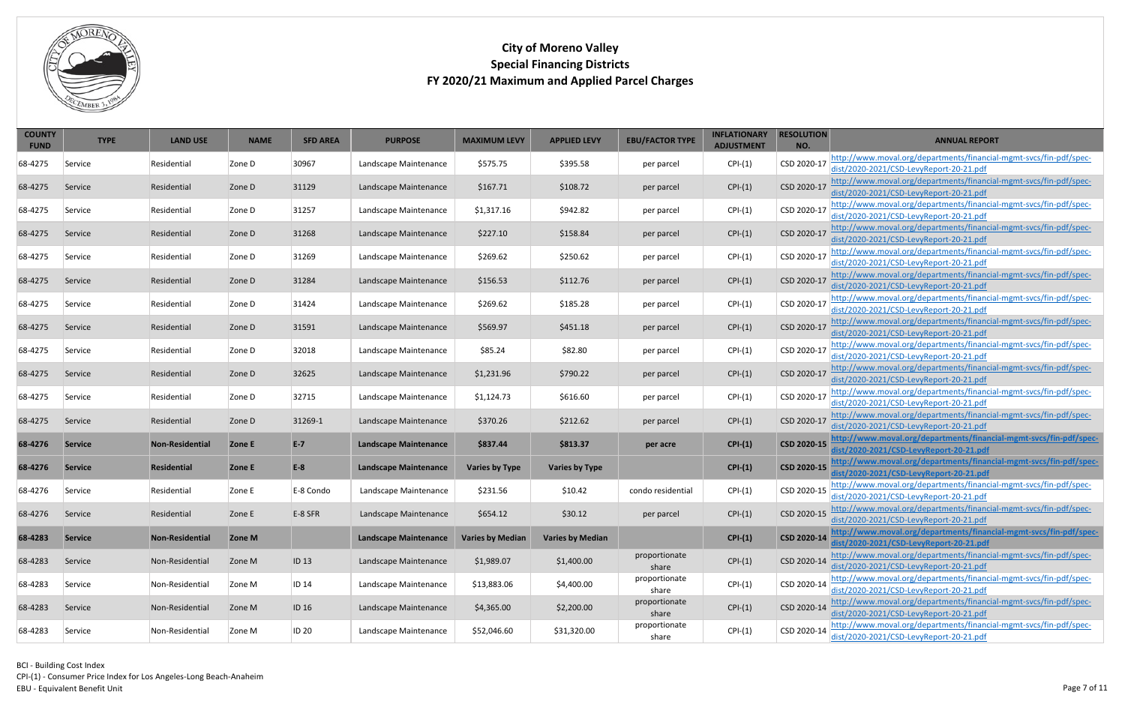

| <b>COUNTY</b><br><b>FUND</b> | <b>TYPE</b>    | <b>LAND USE</b>        | <b>NAME</b> | <b>SFD AREA</b>  | <b>PURPOSE</b>               | <b>MAXIMUM LEVY</b>     | <b>APPLIED LEVY</b>     | <b>EBU/FACTOR TYPE</b> | <b>INFLATIONARY</b><br><b>ADJUSTMENT</b> | <b>RESOLUTION</b><br>NO. | <b>ANNUAL REPORT</b>                                                                                          |
|------------------------------|----------------|------------------------|-------------|------------------|------------------------------|-------------------------|-------------------------|------------------------|------------------------------------------|--------------------------|---------------------------------------------------------------------------------------------------------------|
| 68-4275                      | Service        | Residential            | Zone D      | 30967            | Landscape Maintenance        | \$575.75                | \$395.58                | per parcel             | $CPI-(1)$                                | CSD 2020-17              | http://www.moval.org/departments/financial-mgmt-svcs/fin-pdf/spec-<br>dist/2020-2021/CSD-LevyReport-20-21.pdf |
| 68-4275                      | Service        | Residential            | Zone D      | 31129            | Landscape Maintenance        | \$167.71                | \$108.72                | per parcel             | $CPI-(1)$                                | CSD 2020-17              | http://www.moval.org/departments/financial-mgmt-svcs/fin-pdf/spec-<br>dist/2020-2021/CSD-LevyReport-20-21.pdf |
| 68-4275                      | Service        | Residential            | Zone D      | 31257            | Landscape Maintenance        | \$1,317.16              | \$942.82                | per parcel             | $CPI-(1)$                                | CSD 2020-17              | http://www.moval.org/departments/financial-mgmt-svcs/fin-pdf/spec-<br>dist/2020-2021/CSD-LevyReport-20-21.pdf |
| 68-4275                      | Service        | Residential            | Zone D      | 31268            | Landscape Maintenance        | \$227.10                | \$158.84                | per parcel             | $CPI-(1)$                                | CSD 2020-17              | http://www.moval.org/departments/financial-mgmt-svcs/fin-pdf/spec-<br>dist/2020-2021/CSD-LevyReport-20-21.pdf |
| 68-4275                      | Service        | Residential            | Zone D      | 31269            | Landscape Maintenance        | \$269.62                | \$250.62                | per parcel             | $CPI-(1)$                                | CSD 2020-17              | http://www.moval.org/departments/financial-mgmt-svcs/fin-pdf/spec-<br>dist/2020-2021/CSD-LevyReport-20-21.pdf |
| 68-4275                      | Service        | Residential            | Zone D      | 31284            | Landscape Maintenance        | \$156.53                | \$112.76                | per parcel             | $CPI-(1)$                                | CSD 2020-17              | http://www.moval.org/departments/financial-mgmt-svcs/fin-pdf/spec-<br>dist/2020-2021/CSD-LevyReport-20-21.pdf |
| 68-4275                      | Service        | Residential            | Zone D      | 31424            | Landscape Maintenance        | \$269.62                | \$185.28                | per parcel             | $CPI-(1)$                                | CSD 2020-17              | http://www.moval.org/departments/financial-mgmt-svcs/fin-pdf/spec-<br>dist/2020-2021/CSD-LevyReport-20-21.pdf |
| 68-4275                      | Service        | Residential            | Zone D      | 31591            | Landscape Maintenance        | \$569.97                | \$451.18                | per parcel             | $CPI-(1)$                                | CSD 2020-17              | http://www.moval.org/departments/financial-mgmt-svcs/fin-pdf/spec-<br>dist/2020-2021/CSD-LevyReport-20-21.pdf |
| 68-4275                      | Service        | Residential            | Zone D      | 32018            | Landscape Maintenance        | \$85.24                 | \$82.80                 | per parcel             | $CPI-(1)$                                | CSD 2020-17              | http://www.moval.org/departments/financial-mgmt-svcs/fin-pdf/spec-<br>dist/2020-2021/CSD-LevyReport-20-21.pdf |
| 68-4275                      | Service        | Residential            | Zone D      | 32625            | Landscape Maintenance        | \$1,231.96              | \$790.22                | per parcel             | $CPI-(1)$                                | CSD 2020-17              | http://www.moval.org/departments/financial-mgmt-svcs/fin-pdf/spec-<br>dist/2020-2021/CSD-LevyReport-20-21.pdf |
| 68-4275                      | Service        | Residential            | Zone D      | 32715            | Landscape Maintenance        | \$1,124.73              | \$616.60                | per parcel             | $CPI-(1)$                                | CSD 2020-17              | http://www.moval.org/departments/financial-mgmt-svcs/fin-pdf/spec-<br>dist/2020-2021/CSD-LevyReport-20-21.pdf |
| 68-4275                      | Service        | Residential            | Zone D      | 31269-1          | Landscape Maintenance        | \$370.26                | \$212.62                | per parcel             | $CPI-(1)$                                | CSD 2020-17              | http://www.moval.org/departments/financial-mgmt-svcs/fin-pdf/spec-<br>dist/2020-2021/CSD-LevyReport-20-21.pdf |
| 68-4276                      | <b>Service</b> | <b>Non-Residential</b> | Zone E      | $E-7$            | <b>Landscape Maintenance</b> | \$837.44                | \$813.37                | per acre               | $CPI-(1)$                                | CSD 2020-15              | http://www.moval.org/departments/financial-mgmt-svcs/fin-pdf/spec-<br>dist/2020-2021/CSD-LevyReport-20-21.pdf |
| 68-4276                      | <b>Service</b> | <b>Residential</b>     | Zone E      | $E-8$            | <b>Landscape Maintenance</b> | <b>Varies by Type</b>   | <b>Varies by Type</b>   |                        | $CPI-(1)$                                | CSD 2020-15              | http://www.moval.org/departments/financial-mgmt-svcs/fin-pdf/spec-<br>dist/2020-2021/CSD-LevyReport-20-21.pdf |
| 68-4276                      | Service        | Residential            | Zone E      | E-8 Condo        | Landscape Maintenance        | \$231.56                | \$10.42                 | condo residential      | $CPI-(1)$                                | CSD 2020-15              | http://www.moval.org/departments/financial-mgmt-svcs/fin-pdf/spec-<br>dist/2020-2021/CSD-LevyReport-20-21.pdf |
| 68-4276                      | Service        | Residential            | Zone E      | E-8 SFR          | Landscape Maintenance        | \$654.12                | \$30.12                 | per parcel             | $CPI-(1)$                                | CSD 2020-15              | http://www.moval.org/departments/financial-mgmt-svcs/fin-pdf/spec-<br>dist/2020-2021/CSD-LevyReport-20-21.pdf |
| 68-4283                      | <b>Service</b> | Non-Residential        | Zone M      |                  | <b>Landscape Maintenance</b> | <b>Varies by Median</b> | <b>Varies by Median</b> |                        | $CPI-(1)$                                | CSD 2020-14              | http://www.moval.org/departments/financial-mgmt-svcs/fin-pdf/spec-<br>dist/2020-2021/CSD-LevyReport-20-21.pdf |
| 68-4283                      | Service        | Non-Residential        | Zone M      | ID <sub>13</sub> | Landscape Maintenance        | \$1,989.07              | \$1,400.00              | proportionate<br>share | $CPI-(1)$                                | CSD 2020-14              | http://www.moval.org/departments/financial-mgmt-svcs/fin-pdf/spec-<br>dist/2020-2021/CSD-LevyReport-20-21.pdf |
| 68-4283                      | Service        | Non-Residential        | Zone M      | ID 14            | Landscape Maintenance        | \$13,883.06             | \$4,400.00              | proportionate<br>share | $CPI-(1)$                                | CSD 2020-14              | http://www.moval.org/departments/financial-mgmt-svcs/fin-pdf/spec-<br>dist/2020-2021/CSD-LevyReport-20-21.pdf |
| 68-4283                      | Service        | Non-Residential        | Zone M      | ID <sub>16</sub> | Landscape Maintenance        | \$4,365.00              | \$2,200.00              | proportionate<br>share | $CPI-(1)$                                | CSD 2020-14              | http://www.moval.org/departments/financial-mgmt-svcs/fin-pdf/spec-<br>dist/2020-2021/CSD-LevyReport-20-21.pdf |
| 68-4283                      | Service        | Non-Residential        | Zone M      | <b>ID 20</b>     | Landscape Maintenance        | \$52,046.60             | \$31,320.00             | proportionate<br>share | $CPI-(1)$                                | CSD 2020-14              | http://www.moval.org/departments/financial-mgmt-svcs/fin-pdf/spec-<br>dist/2020-2021/CSD-LevyReport-20-21.pdf |

<span id="page-6-2"></span><span id="page-6-1"></span><span id="page-6-0"></span>BCI - Building Cost Index CPI-(1) - Consumer Price Index for Los Angeles-Long Beach-Anaheim EBU - Equivalent Benefit Unit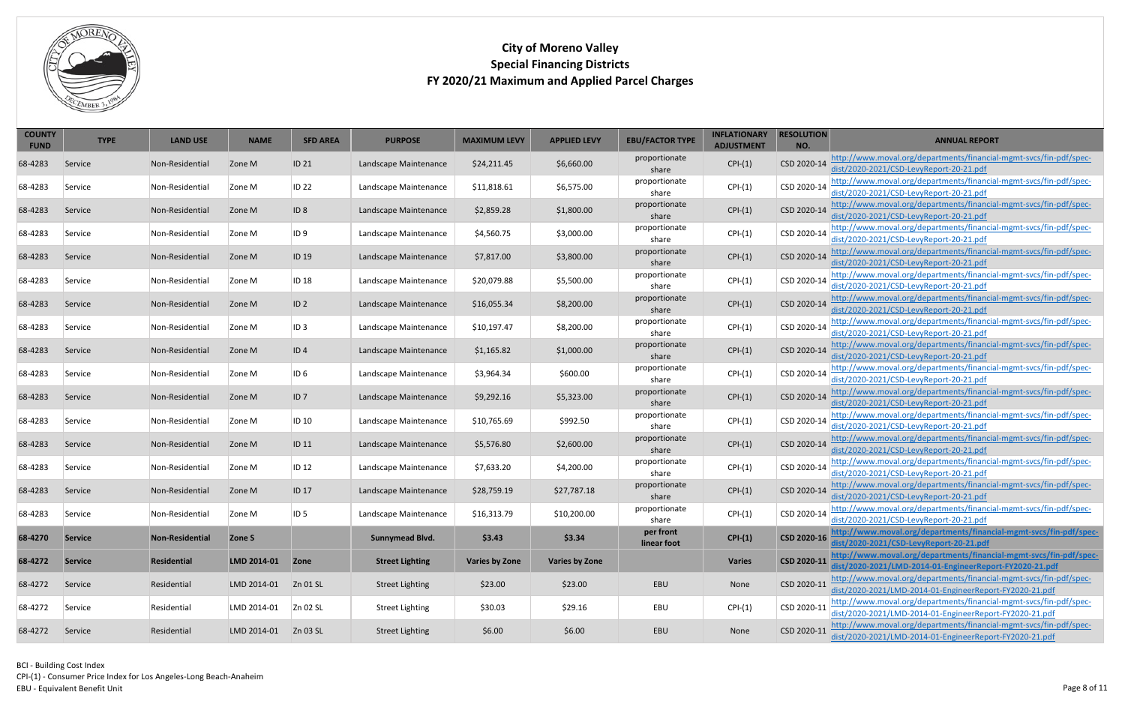<span id="page-7-1"></span><span id="page-7-0"></span>CPI-(1) - Consumer Price Index for Los Angeles-Long Beach-Anaheim

EBU - Equivalent Benefit Unit



| <b>COUNTY</b><br><b>FUND</b> | <b>TYPE</b>    | <b>LAND USE</b>    | <b>NAME</b> | <b>SFD AREA</b>  | <b>PURPOSE</b>         | <b>MAXIMUM LEVY</b>   | <b>APPLIED LEVY</b>   | <b>EBU/FACTOR TYPE</b>   | <b>INFLATIONARY</b><br><b>ADJUSTMENT</b> | <b>RESOLUTION</b><br>NO. | <b>ANNUAL REPORT</b>                                                                                                          |
|------------------------------|----------------|--------------------|-------------|------------------|------------------------|-----------------------|-----------------------|--------------------------|------------------------------------------|--------------------------|-------------------------------------------------------------------------------------------------------------------------------|
| 68-4283                      | Service        | Non-Residential    | Zone M      | ID <sub>21</sub> | Landscape Maintenance  | \$24,211.45           | \$6,660.00            | proportionate<br>share   | $CPI-(1)$                                | CSD 2020-14              | http://www.moval.org/departments/financial-mgmt-svcs/fin-pdf/spec-<br>dist/2020-2021/CSD-LevyReport-20-21.pdf                 |
| 68-4283                      | Service        | Non-Residential    | Zone M      | <b>ID 22</b>     | Landscape Maintenance  | \$11,818.61           | \$6,575.00            | proportionate<br>share   | $CPI-(1)$                                | CSD 2020-14              | http://www.moval.org/departments/financial-mgmt-svcs/fin-pdf/spec-<br>dist/2020-2021/CSD-LevyReport-20-21.pdf                 |
| 68-4283                      | Service        | Non-Residential    | Zone M      | ID <sub>8</sub>  | Landscape Maintenance  | \$2,859.28            | \$1,800.00            | proportionate<br>share   | $CPI-(1)$                                | CSD 2020-14              | http://www.moval.org/departments/financial-mgmt-svcs/fin-pdf/spec-<br>dist/2020-2021/CSD-LevyReport-20-21.pdf                 |
| 68-4283                      | Service        | Non-Residential    | Zone M      | ID 9             | Landscape Maintenance  | \$4,560.75            | \$3,000.00            | proportionate<br>share   | $CPI-(1)$                                | CSD 2020-14              | http://www.moval.org/departments/financial-mgmt-svcs/fin-pdf/spec-<br>dist/2020-2021/CSD-LevyReport-20-21.pdf                 |
| 68-4283                      | Service        | Non-Residential    | Zone M      | ID <sub>19</sub> | Landscape Maintenance  | \$7,817.00            | \$3,800.00            | proportionate<br>share   | $CPI-(1)$                                | CSD 2020-14              | http://www.moval.org/departments/financial-mgmt-svcs/fin-pdf/spec-<br>dist/2020-2021/CSD-LevyReport-20-21.pdf                 |
| 68-4283                      | Service        | Non-Residential    | Zone M      | <b>ID 18</b>     | Landscape Maintenance  | \$20,079.88           | \$5,500.00            | proportionate<br>share   | $CPI-(1)$                                | CSD 2020-14              | http://www.moval.org/departments/financial-mgmt-svcs/fin-pdf/spec-<br>dist/2020-2021/CSD-LevyReport-20-21.pdf                 |
| 68-4283                      | Service        | Non-Residential    | Zone M      | ID <sub>2</sub>  | Landscape Maintenance  | \$16,055.34           | \$8,200.00            | proportionate<br>share   | $CPI-(1)$                                | CSD 2020-14              | http://www.moval.org/departments/financial-mgmt-svcs/fin-pdf/spec-<br>dist/2020-2021/CSD-LevyReport-20-21.pdf                 |
| 68-4283                      | Service        | Non-Residential    | Zone M      | ID <sub>3</sub>  | Landscape Maintenance  | \$10,197.47           | \$8,200.00            | proportionate<br>share   | $CPI-(1)$                                | CSD 2020-14              | http://www.moval.org/departments/financial-mgmt-svcs/fin-pdf/spec-<br>dist/2020-2021/CSD-LevyReport-20-21.pdf                 |
| 68-4283                      | Service        | Non-Residential    | Zone M      | ID <sub>4</sub>  | Landscape Maintenance  | \$1,165.82            | \$1,000.00            | proportionate<br>share   | $CPI-(1)$                                | CSD 2020-14              | http://www.moval.org/departments/financial-mgmt-svcs/fin-pdf/spec-<br>dist/2020-2021/CSD-LevyReport-20-21.pdf                 |
| 68-4283                      | Service        | Non-Residential    | Zone M      | ID 6             | Landscape Maintenance  | \$3,964.34            | \$600.00              | proportionate<br>share   | $CPI-(1)$                                | CSD 2020-14              | http://www.moval.org/departments/financial-mgmt-svcs/fin-pdf/spec-<br>dist/2020-2021/CSD-LevyReport-20-21.pdf                 |
| 68-4283                      | Service        | Non-Residential    | Zone M      | ID7              | Landscape Maintenance  | \$9,292.16            | \$5,323.00            | proportionate<br>share   | $CPI-(1)$                                | CSD 2020-14              | http://www.moval.org/departments/financial-mgmt-svcs/fin-pdf/spec-<br>dist/2020-2021/CSD-LevyReport-20-21.pdf                 |
| 68-4283                      | Service        | Non-Residential    | Zone M      | <b>ID 10</b>     | Landscape Maintenance  | \$10,765.69           | \$992.50              | proportionate<br>share   | $CPI-(1)$                                | CSD 2020-14              | http://www.moval.org/departments/financial-mgmt-svcs/fin-pdf/spec-<br>dist/2020-2021/CSD-LevyReport-20-21.pdf                 |
| 68-4283                      | Service        | Non-Residential    | Zone M      | ID <sub>11</sub> | Landscape Maintenance  | \$5,576.80            | \$2,600.00            | proportionate<br>share   | $CPI-(1)$                                | CSD 2020-14              | http://www.moval.org/departments/financial-mgmt-svcs/fin-pdf/spec-<br>dist/2020-2021/CSD-LevyReport-20-21.pdf                 |
| 68-4283                      | Service        | Non-Residential    | Zone M      | <b>ID 12</b>     | Landscape Maintenance  | \$7,633.20            | \$4,200.00            | proportionate<br>share   | $CPI-(1)$                                | CSD 2020-14              | http://www.moval.org/departments/financial-mgmt-svcs/fin-pdf/spec-<br>dist/2020-2021/CSD-LevyReport-20-21.pdf                 |
| 68-4283                      | Service        | Non-Residential    | Zone M      | <b>ID 17</b>     | Landscape Maintenance  | \$28,759.19           | \$27,787.18           | proportionate<br>share   | $CPI-(1)$                                |                          | CSD 2020-14 http://www.moval.org/departments/financial-mgmt-svcs/fin-pdf/spec-<br>dist/2020-2021/CSD-LevyReport-20-21.pdf     |
| 68-4283                      | Service        | Non-Residential    | Zone M      | ID 5             | Landscape Maintenance  | \$16,313.79           | \$10,200.00           | proportionate<br>share   | $CPI-(1)$                                | CSD 2020-14              | http://www.moval.org/departments/financial-mgmt-svcs/fin-pdf/spec-<br>dist/2020-2021/CSD-LevyReport-20-21.pdf                 |
| 68-4270                      | <b>Service</b> | Non-Residential    | Zone S      |                  | <b>Sunnymead Blvd.</b> | \$3.43                | \$3.34                | per front<br>linear foot | $CPI-(1)$                                | CSD 2020-16              | http://www.moval.org/departments/financial-mgmt-svcs/fin-pdf/spec-<br>dist/2020-2021/CSD-LevyReport-20-21.pdf                 |
| 68-4272                      | <b>Service</b> | <b>Residential</b> | LMD 2014-01 | <b>Zone</b>      | <b>Street Lighting</b> | <b>Varies by Zone</b> | <b>Varies by Zone</b> |                          | <b>Varies</b>                            | CSD 2020-11              | http://www.moval.org/departments/financial-mgmt-svcs/fin-pdf/spec-<br>dist/2020-2021/LMD-2014-01-EngineerReport-FY2020-21.pdf |
| 68-4272                      | Service        | Residential        | LMD 2014-01 | Zn 01 SL         | <b>Street Lighting</b> | \$23.00               | \$23.00               | EBU                      | None                                     | CSD 2020-11              | http://www.moval.org/departments/financial-mgmt-svcs/fin-pdf/spec-<br>dist/2020-2021/LMD-2014-01-EngineerReport-FY2020-21.pdf |
| 68-4272                      | Service        | Residential        | LMD 2014-01 | Zn 02 SL         | <b>Street Lighting</b> | \$30.03               | \$29.16               | EBU                      | $CPI-(1)$                                | CSD 2020-11              | http://www.moval.org/departments/financial-mgmt-svcs/fin-pdf/spec-<br>dist/2020-2021/LMD-2014-01-EngineerReport-FY2020-21.pdf |
| 68-4272                      | Service        | Residential        | LMD 2014-01 | Zn 03 SL         | <b>Street Lighting</b> | \$6.00                | \$6.00                | EBU                      | None                                     | CSD 2020-11              | http://www.moval.org/departments/financial-mgmt-svcs/fin-pdf/spec-<br>dist/2020-2021/LMD-2014-01-EngineerReport-FY2020-21.pdf |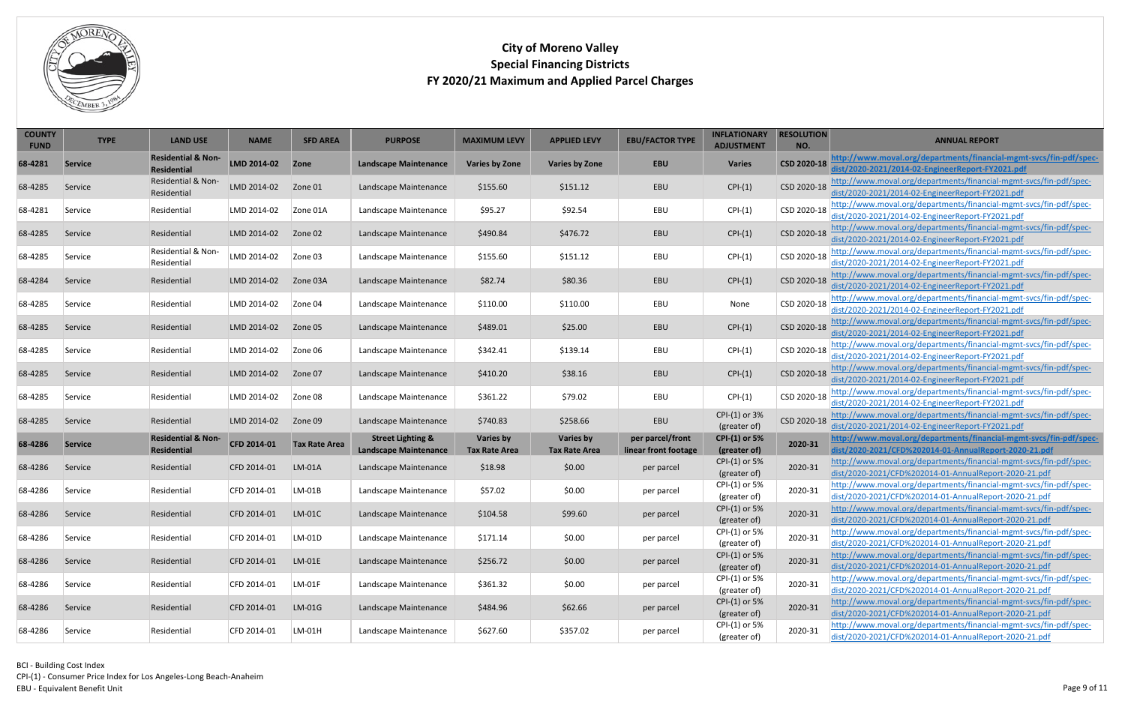

<span id="page-8-0"></span>

| <b>COUNTY</b><br><b>FUND</b> | <b>TYPE</b>    | <b>LAND USE</b>                                     | <b>NAME</b> | <b>SFD AREA</b>      | <b>PURPOSE</b>                                               | <b>MAXIMUM LEVY</b>                      | <b>APPLIED LEVY</b>               | <b>EBU/FACTOR TYPE</b>                   | <b>INFLATIONARY</b><br><b>ADJUSTMENT</b> | <b>RESOLUTION</b><br>NO. | <b>ANNUAL REPORT</b>                                                                                                        |
|------------------------------|----------------|-----------------------------------------------------|-------------|----------------------|--------------------------------------------------------------|------------------------------------------|-----------------------------------|------------------------------------------|------------------------------------------|--------------------------|-----------------------------------------------------------------------------------------------------------------------------|
| 68-4281                      | <b>Service</b> | <b>Residential &amp; Non-</b><br><b>Residential</b> | LMD 2014-02 | Zone                 | <b>Landscape Maintenance</b>                                 | <b>Varies by Zone</b>                    | <b>Varies by Zone</b>             | <b>EBU</b>                               | <b>Varies</b>                            | CSD 2020-18              | http://www.moval.org/departments/financial-mgmt-svcs/fin-pdf/spec-<br>dist/2020-2021/2014-02-EngineerReport-FY2021.pdf      |
| 68-4285                      | Service        | Residential & Non-<br>Residential                   | LMD 2014-02 | Zone 01              | Landscape Maintenance                                        | \$155.60                                 | \$151.12                          | EBU                                      | $CPI-(1)$                                | CSD 2020-18              | http://www.moval.org/departments/financial-mgmt-svcs/fin-pdf/spec-<br>dist/2020-2021/2014-02-EngineerReport-FY2021.pdf      |
| 68-4281                      | Service        | Residential                                         | LMD 2014-02 | Zone 01A             | Landscape Maintenance                                        | \$95.27                                  | \$92.54                           | EBU                                      | $CPI-(1)$                                | CSD 2020-18              | http://www.moval.org/departments/financial-mgmt-svcs/fin-pdf/spec-<br>dist/2020-2021/2014-02-EngineerReport-FY2021.pdf      |
| 68-4285                      | Service        | Residential                                         | LMD 2014-02 | Zone 02              | Landscape Maintenance                                        | \$490.84                                 | \$476.72                          | EBU                                      | $CPI-(1)$                                | CSD 2020-18              | http://www.moval.org/departments/financial-mgmt-svcs/fin-pdf/spec-<br>dist/2020-2021/2014-02-EngineerReport-FY2021.pdf      |
| 68-4285                      | Service        | Residential & Non-<br>Residential                   | LMD 2014-02 | Zone 03              | Landscape Maintenance                                        | \$155.60                                 | \$151.12                          | EBU                                      | $CPI-(1)$                                | CSD 2020-18              | http://www.moval.org/departments/financial-mgmt-svcs/fin-pdf/spec-<br>dist/2020-2021/2014-02-EngineerReport-FY2021.pdf      |
| 68-4284                      | Service        | Residential                                         | LMD 2014-02 | Zone 03A             | Landscape Maintenance                                        | \$82.74                                  | \$80.36                           | EBU                                      | $CPI-(1)$                                | CSD 2020-18              | http://www.moval.org/departments/financial-mgmt-svcs/fin-pdf/spec-<br>dist/2020-2021/2014-02-EngineerReport-FY2021.pdf      |
| 68-4285                      | Service        | Residential                                         | LMD 2014-02 | Zone 04              | Landscape Maintenance                                        | \$110.00                                 | \$110.00                          | EBU                                      | None                                     | CSD 2020-18              | http://www.moval.org/departments/financial-mgmt-svcs/fin-pdf/spec-<br>dist/2020-2021/2014-02-EngineerReport-FY2021.pdf      |
| 68-4285                      | Service        | Residential                                         | LMD 2014-02 | Zone 05              | Landscape Maintenance                                        | \$489.01                                 | \$25.00                           | EBU                                      | $CPI-(1)$                                | CSD 2020-18              | http://www.moval.org/departments/financial-mgmt-svcs/fin-pdf/spec-<br>dist/2020-2021/2014-02-EngineerReport-FY2021.pdf      |
| 68-4285                      | Service        | Residential                                         | LMD 2014-02 | Zone 06              | Landscape Maintenance                                        | \$342.41                                 | \$139.14                          | EBU                                      | $CPI-(1)$                                | CSD 2020-18              | http://www.moval.org/departments/financial-mgmt-svcs/fin-pdf/spec-<br>dist/2020-2021/2014-02-EngineerReport-FY2021.pdf      |
| 68-4285                      | Service        | Residential                                         | LMD 2014-02 | Zone 07              | Landscape Maintenance                                        | \$410.20                                 | \$38.16                           | EBU                                      | $CPI-(1)$                                | CSD 2020-18              | http://www.moval.org/departments/financial-mgmt-svcs/fin-pdf/spec-<br>dist/2020-2021/2014-02-EngineerReport-FY2021.pdf      |
| 68-4285                      | Service        | Residential                                         | LMD 2014-02 | Zone 08              | Landscape Maintenance                                        | \$361.22                                 | \$79.02                           | EBU                                      | $CPI-(1)$                                | CSD 2020-18              | http://www.moval.org/departments/financial-mgmt-svcs/fin-pdf/spec-<br>dist/2020-2021/2014-02-EngineerReport-FY2021.pdf      |
| 68-4285                      | Service        | Residential                                         | LMD 2014-02 | Zone 09              | Landscape Maintenance                                        | \$740.83                                 | \$258.66                          | EBU                                      | CPI-(1) or 3%<br>(greater of)            | CSD 2020-18              | http://www.moval.org/departments/financial-mgmt-svcs/fin-pdf/spec-<br>dist/2020-2021/2014-02-EngineerReport-FY2021.pdf      |
| 68-4286                      | <b>Service</b> | <b>Residential &amp; Non-</b><br><b>Residential</b> | CFD 2014-01 | <b>Tax Rate Area</b> | <b>Street Lighting &amp;</b><br><b>Landscape Maintenance</b> | <b>Varies by</b><br><b>Tax Rate Area</b> | Varies by<br><b>Tax Rate Area</b> | per parcel/front<br>linear front footage | <b>CPI-(1) or 5%</b><br>(greater of)     | 2020-31                  | http://www.moval.org/departments/financial-mgmt-svcs/fin-pdf/spec-<br>dist/2020-2021/CFD%202014-01-AnnualReport-2020-21.pdf |
| 68-4286                      | Service        | Residential                                         | CFD 2014-01 | LM-01A               | Landscape Maintenance                                        | \$18.98                                  | \$0.00                            | per parcel                               | CPI-(1) or 5%<br>(greater of)            | 2020-31                  | http://www.moval.org/departments/financial-mgmt-svcs/fin-pdf/spec-<br>dist/2020-2021/CFD%202014-01-AnnualReport-2020-21.pdf |
| 68-4286                      | Service        | Residential                                         | CFD 2014-01 | $LM-01B$             | Landscape Maintenance                                        | \$57.02                                  | \$0.00                            | per parcel                               | CPI-(1) or 5%<br>(greater of)            | 2020-31                  | http://www.moval.org/departments/financial-mgmt-svcs/fin-pdf/spec-<br>dist/2020-2021/CFD%202014-01-AnnualReport-2020-21.pdf |
| 68-4286                      | Service        | Residential                                         | CFD 2014-01 | $LM-01C$             | Landscape Maintenance                                        | \$104.58                                 | \$99.60                           | per parcel                               | CPI-(1) or 5%<br>(greater of)            | 2020-31                  | http://www.moval.org/departments/financial-mgmt-svcs/fin-pdf/spec-<br>dist/2020-2021/CFD%202014-01-AnnualReport-2020-21.pdf |
| 68-4286                      | Service        | Residential                                         | CFD 2014-01 | $LM-01D$             | Landscape Maintenance                                        | \$171.14                                 | \$0.00                            | per parcel                               | CPI-(1) or 5%<br>(greater of)            | 2020-31                  | http://www.moval.org/departments/financial-mgmt-svcs/fin-pdf/spec-<br>dist/2020-2021/CFD%202014-01-AnnualReport-2020-21.pdf |
| 68-4286                      | Service        | Residential                                         | CFD 2014-01 | $LM-01E$             | Landscape Maintenance                                        | \$256.72                                 | \$0.00                            | per parcel                               | CPI-(1) or 5%<br>(greater of)            | 2020-31                  | http://www.moval.org/departments/financial-mgmt-svcs/fin-pdf/spec-<br>dist/2020-2021/CFD%202014-01-AnnualReport-2020-21.pdf |
| 68-4286                      | Service        | Residential                                         | CFD 2014-01 | $LM-01F$             | Landscape Maintenance                                        | \$361.32                                 | \$0.00                            | per parcel                               | CPI-(1) or 5%<br>(greater of)            | 2020-31                  | http://www.moval.org/departments/financial-mgmt-svcs/fin-pdf/spec-<br>dist/2020-2021/CFD%202014-01-AnnualReport-2020-21.pdf |
| 68-4286                      | Service        | Residential                                         | CFD 2014-01 | $LM-01G$             | Landscape Maintenance                                        | \$484.96                                 | \$62.66                           | per parcel                               | CPI-(1) or 5%<br>(greater of)            | 2020-31                  | http://www.moval.org/departments/financial-mgmt-svcs/fin-pdf/spec-<br>dist/2020-2021/CFD%202014-01-AnnualReport-2020-21.pdf |
| 68-4286                      | Service        | Residential                                         | CFD 2014-01 | LM-01H               | Landscape Maintenance                                        | \$627.60                                 | \$357.02                          | per parcel                               | CPI-(1) or 5%<br>(greater of)            | 2020-31                  | http://www.moval.org/departments/financial-mgmt-svcs/fin-pdf/spec-<br>dist/2020-2021/CFD%202014-01-AnnualReport-2020-21.pdf |

<span id="page-8-1"></span>BCI - Building Cost Index CPI-(1) - Consumer Price Index for Los Angeles-Long Beach-Anaheim Page 9 of 11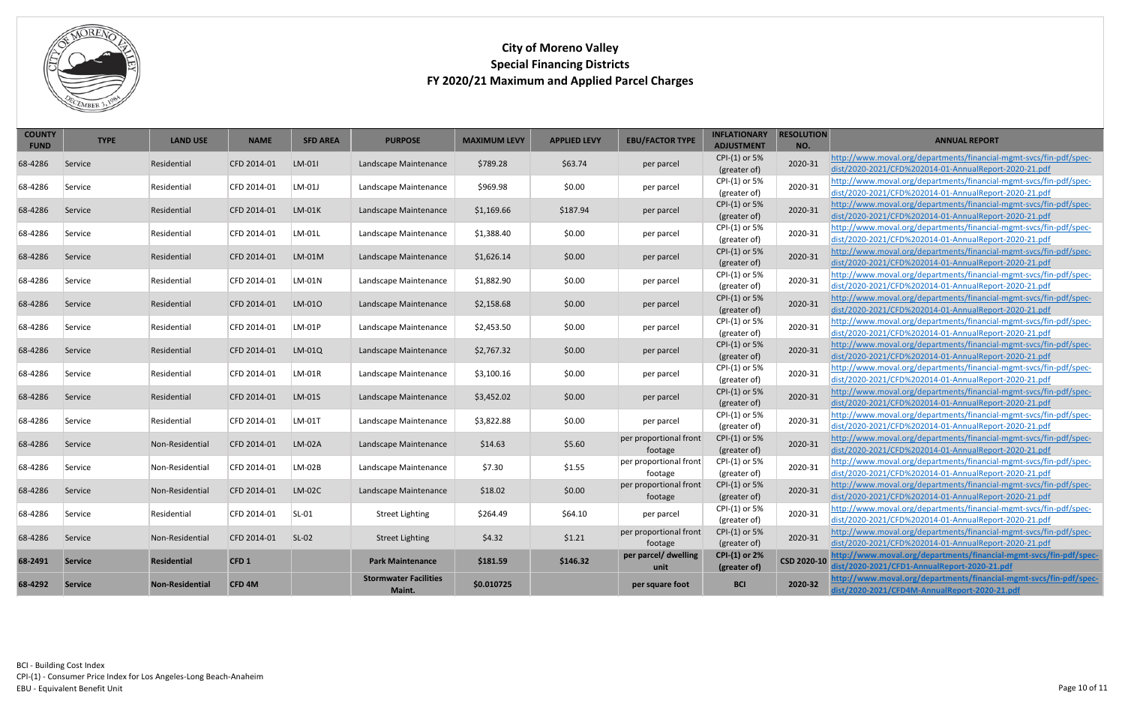

<span id="page-9-0"></span>

| <b>COUNTY</b><br><b>FUND</b> | <b>TYPE</b>    | <b>LAND USE</b>        | <b>NAME</b>       | <b>SFD AREA</b> | <b>PURPOSE</b>               | <b>MAXIMUM LEVY</b> | <b>APPLIED LEVY</b> | <b>EBU/FACTOR TYPE</b>            | <b>INFLATIONARY</b><br><b>ADJUSTMENT</b> | <b>RESOLUTION</b><br>NO. | <b>ANNUAL REPORT</b>                                                                                                        |
|------------------------------|----------------|------------------------|-------------------|-----------------|------------------------------|---------------------|---------------------|-----------------------------------|------------------------------------------|--------------------------|-----------------------------------------------------------------------------------------------------------------------------|
|                              |                |                        |                   |                 |                              |                     |                     |                                   | CPI-(1) or 5%                            |                          | http://www.moval.org/departments/financial-mgmt-svcs/fin-pdf/spec-                                                          |
| 68-4286                      | Service        | Residential            | CFD 2014-01       | LM-01           | Landscape Maintenance        | \$789.28            | \$63.74             | per parcel                        | (greater of)                             | 2020-31                  | dist/2020-2021/CFD%202014-01-AnnualReport-2020-21.pdf                                                                       |
| 68-4286                      |                |                        | CFD 2014-01       | LM-01J          |                              | \$969.98            | \$0.00              |                                   | CPI-(1) or 5%                            | 2020-31                  | http://www.moval.org/departments/financial-mgmt-svcs/fin-pdf/spec-                                                          |
|                              | Service        | Residential            |                   |                 | Landscape Maintenance        |                     |                     | per parcel                        | (greater of)                             |                          | dist/2020-2021/CFD%202014-01-AnnualReport-2020-21.pdf                                                                       |
| 68-4286                      | Service        | Residential            | CFD 2014-01       | $LM-01K$        | Landscape Maintenance        | \$1,169.66          | \$187.94            | per parcel                        | CPI-(1) or 5%                            | 2020-31                  | http://www.moval.org/departments/financial-mgmt-svcs/fin-pdf/spec-                                                          |
|                              |                |                        |                   |                 |                              |                     |                     |                                   | (greater of)                             |                          | dist/2020-2021/CFD%202014-01-AnnualReport-2020-21.pdf                                                                       |
| 68-4286                      | Service        | Residential            | CFD 2014-01       | LM-01L          | Landscape Maintenance        | \$1,388.40          | \$0.00              | per parcel                        | CPI-(1) or 5%                            | 2020-31                  | http://www.moval.org/departments/financial-mgmt-svcs/fin-pdf/spec-                                                          |
|                              |                |                        |                   |                 |                              |                     |                     |                                   | (greater of)                             |                          | dist/2020-2021/CFD%202014-01-AnnualReport-2020-21.pdf                                                                       |
| 68-4286                      | Service        | Residential            | CFD 2014-01       | $LM-01M$        | Landscape Maintenance        | \$1,626.14          | \$0.00              | per parcel                        | CPI-(1) or 5%                            | 2020-31                  | http://www.moval.org/departments/financial-mgmt-svcs/fin-pdf/spec-                                                          |
|                              |                |                        |                   |                 |                              |                     |                     |                                   | (greater of)                             |                          | dist/2020-2021/CFD%202014-01-AnnualReport-2020-21.pdf                                                                       |
| 68-4286                      | Service        | Residential            | CFD 2014-01       | LM-01N          | Landscape Maintenance        | \$1,882.90          | \$0.00              | per parcel                        | CPI-(1) or 5%<br>(greater of)            | 2020-31                  | http://www.moval.org/departments/financial-mgmt-svcs/fin-pdf/spec-<br>dist/2020-2021/CFD%202014-01-AnnualReport-2020-21.pdf |
|                              |                |                        |                   |                 |                              |                     |                     |                                   | CPI-(1) or 5%                            |                          | http://www.moval.org/departments/financial-mgmt-svcs/fin-pdf/spec-                                                          |
| 68-4286                      | Service        | Residential            | CFD 2014-01       | LM-010          | Landscape Maintenance        | \$2,158.68          | \$0.00              | per parcel                        | (greater of)                             | 2020-31                  | dist/2020-2021/CFD%202014-01-AnnualReport-2020-21.pdf                                                                       |
|                              |                |                        |                   |                 |                              |                     |                     |                                   | CPI-(1) or 5%                            |                          | http://www.moval.org/departments/financial-mgmt-svcs/fin-pdf/spec-                                                          |
| 68-4286                      | Service        | Residential            | CFD 2014-01       | LM-01P          | Landscape Maintenance        | \$2,453.50          | \$0.00              | per parcel                        | (greater of)                             | 2020-31                  | dist/2020-2021/CFD%202014-01-AnnualReport-2020-21.pdf                                                                       |
|                              |                |                        |                   |                 |                              |                     |                     |                                   | CPI-(1) or 5%                            |                          | http://www.moval.org/departments/financial-mgmt-svcs/fin-pdf/spec-                                                          |
| 68-4286                      | Service        | Residential            | CFD 2014-01       | LM-01Q          | Landscape Maintenance        | \$2,767.32          | \$0.00              | per parcel                        | (greater of)                             | 2020-31                  | dist/2020-2021/CFD%202014-01-AnnualReport-2020-21.pdf                                                                       |
| 68-4286                      | Service        | Residential            | CFD 2014-01       | LM-01R          | Landscape Maintenance        | \$3,100.16          | \$0.00              |                                   | CPI-(1) or 5%                            | 2020-31                  | http://www.moval.org/departments/financial-mgmt-svcs/fin-pdf/spec-                                                          |
|                              |                |                        |                   |                 |                              |                     |                     | per parcel                        | (greater of)                             |                          | dist/2020-2021/CFD%202014-01-AnnualReport-2020-21.pdf                                                                       |
| 68-4286                      | Service        | Residential            | CFD 2014-01       | LM-01S          | Landscape Maintenance        | \$3,452.02          | \$0.00              | per parcel                        | CPI-(1) or 5%                            | 2020-31                  | http://www.moval.org/departments/financial-mgmt-svcs/fin-pdf/spec-                                                          |
|                              |                |                        |                   |                 |                              |                     |                     |                                   | (greater of)                             |                          | dist/2020-2021/CFD%202014-01-AnnualReport-2020-21.pdf                                                                       |
| 68-4286                      | Service        | Residential            | CFD 2014-01       | LM-01T          | Landscape Maintenance        | \$3,822.88          | \$0.00              | per parcel                        | CPI-(1) or 5%                            | 2020-31                  | http://www.moval.org/departments/financial-mgmt-svcs/fin-pdf/spec-                                                          |
|                              |                |                        |                   |                 |                              |                     |                     |                                   | (greater of)                             |                          | dist/2020-2021/CFD%202014-01-AnnualReport-2020-21.pdf                                                                       |
| 68-4286                      | Service        | Non-Residential        | CFD 2014-01       | LM-02A          | Landscape Maintenance        | \$14.63             | \$5.60              | per proportional front            | CPI-(1) or 5%                            | 2020-31                  | http://www.moval.org/departments/financial-mgmt-svcs/fin-pdf/spec-                                                          |
|                              |                |                        |                   |                 |                              |                     |                     | footage                           | (greater of)                             |                          | dist/2020-2021/CFD%202014-01-AnnualReport-2020-21.pdf                                                                       |
| 68-4286                      | Service        | Non-Residential        | CFD 2014-01       | LM-02B          | Landscape Maintenance        | \$7.30              | \$1.55              | per proportional front            | CPI-(1) or 5%                            | 2020-31                  | http://www.moval.org/departments/financial-mgmt-svcs/fin-pdf/spec-                                                          |
|                              |                |                        |                   |                 |                              |                     |                     | footage<br>per proportional front | (greater of)<br>CPI-(1) or 5%            |                          | dist/2020-2021/CFD%202014-01-AnnualReport-2020-21.pdf<br>http://www.moval.org/departments/financial-mgmt-svcs/fin-pdf/spec- |
| 68-4286                      | Service        | Non-Residential        | CFD 2014-01       | $LM-02C$        | Landscape Maintenance        | \$18.02             | \$0.00              | footage                           | (greater of)                             | 2020-31                  | dist/2020-2021/CFD%202014-01-AnnualReport-2020-21.pdf                                                                       |
|                              |                |                        |                   |                 |                              |                     |                     |                                   | CPI-(1) or 5%                            |                          | http://www.moval.org/departments/financial-mgmt-svcs/fin-pdf/spec-                                                          |
| 68-4286                      | Service        | Residential            | CFD 2014-01       | $SL-01$         | <b>Street Lighting</b>       | \$264.49            | \$64.10             | per parcel                        | (greater of)                             | 2020-31                  | dist/2020-2021/CFD%202014-01-AnnualReport-2020-21.pdf                                                                       |
|                              |                |                        |                   |                 |                              |                     |                     | per proportional front            | CPI-(1) or 5%                            |                          | http://www.moval.org/departments/financial-mgmt-svcs/fin-pdf/spec-                                                          |
| 68-4286                      | Service        | Non-Residential        | CFD 2014-01       | $SL-02$         | <b>Street Lighting</b>       | \$4.32              | \$1.21              | footage                           | (greater of)                             | 2020-31                  | dist/2020-2021/CFD%202014-01-AnnualReport-2020-21.pdf                                                                       |
|                              |                |                        |                   |                 |                              |                     |                     | per parcel/ dwelling              | <b>CPI-(1) or 2%</b>                     |                          | http://www.moval.org/departments/financial-mgmt-svcs/fin-pdf/spec-                                                          |
| 68-2491                      | <b>Service</b> | <b>Residential</b>     | CFD1              |                 | <b>Park Maintenance</b>      | \$181.59            | \$146.32            | unit                              | (greater of)                             | CSD 2020-10              | dist/2020-2021/CFD1-AnnualReport-2020-21.pdf                                                                                |
| 68-4292                      | <b>Service</b> | <b>Non-Residential</b> | CFD <sub>4M</sub> |                 | <b>Stormwater Facilities</b> | \$0.010725          |                     | per square foot                   | <b>BCI</b>                               | 2020-32                  | http://www.moval.org/departments/financial-mgmt-svcs/fin-pdf/spec-                                                          |
|                              |                |                        |                   |                 | Maint.                       |                     |                     |                                   |                                          |                          | dist/2020-2021/CFD4M-AnnualReport-2020-21.pdf                                                                               |